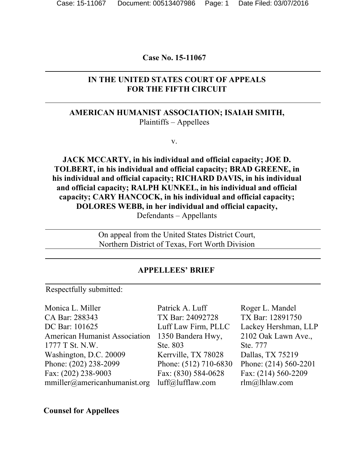#### **Case No. 15-11067**

# **IN THE UNITED STATES COURT OF APPEALS FOR THE FIFTH CIRCUIT**

# **AMERICAN HUMANIST ASSOCIATION; ISAIAH SMITH,** Plaintiffs – Appellees

v.

**JACK MCCARTY, in his individual and official capacity; JOE D. TOLBERT, in his individual and official capacity; BRAD GREENE, in his individual and official capacity; RICHARD DAVIS, in his individual and official capacity; RALPH KUNKEL, in his individual and official capacity; CARY HANCOCK, in his individual and official capacity; DOLORES WEBB, in her individual and official capacity,** Defendants – Appellants

> On appeal from the United States District Court, Northern District of Texas, Fort Worth Division

#### **APPELLEES' BRIEF**

Respectfully submitted:

Monica L. Miller CA Bar: 288343 DC Bar: 101625 American Humanist Association 1777 T St. N.W. Washington, D.C. 20009 Phone: (202) 238-2099 Fax: (202) 238-9003 mmiller@americanhumanist.org

Patrick A. Luff TX Bar: 24092728 Luff Law Firm, PLLC 1350 Bandera Hwy, Ste. 803 Kerrville, TX 78028 Phone: (512) 710-6830 Fax: (830) 584-0628 luff@lufflaw.com

Roger L. Mandel TX Bar: 12891750 Lackey Hershman, LLP 2102 Oak Lawn Ave., Ste. 777 Dallas, TX 75219 Phone: (214) 560-2201 Fax: (214) 560-2209 rlm@lhlaw.com

**Counsel for Appellees**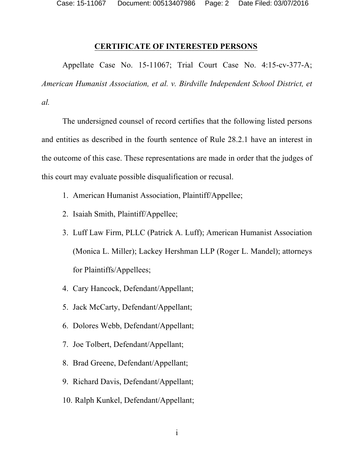Case: 15-11067 Document: 00513407986 Page: 2 Date Filed: 03/07/2016

#### **CERTIFICATE OF INTERESTED PERSONS**

Appellate Case No. 15-11067; Trial Court Case No. 4:15-cv-377-A; *American Humanist Association, et al. v. Birdville Independent School District, et al.*

The undersigned counsel of record certifies that the following listed persons and entities as described in the fourth sentence of Rule 28.2.1 have an interest in the outcome of this case. These representations are made in order that the judges of this court may evaluate possible disqualification or recusal.

- 1. American Humanist Association, Plaintiff/Appellee;
- 2. Isaiah Smith, Plaintiff/Appellee;
- 3. Luff Law Firm, PLLC (Patrick A. Luff); American Humanist Association (Monica L. Miller); Lackey Hershman LLP (Roger L. Mandel); attorneys for Plaintiffs/Appellees;
- 4. Cary Hancock, Defendant/Appellant;
- 5. Jack McCarty, Defendant/Appellant;
- 6. Dolores Webb, Defendant/Appellant;
- 7. Joe Tolbert, Defendant/Appellant;
- 8. Brad Greene, Defendant/Appellant;
- 9. Richard Davis, Defendant/Appellant;
- 10. Ralph Kunkel, Defendant/Appellant;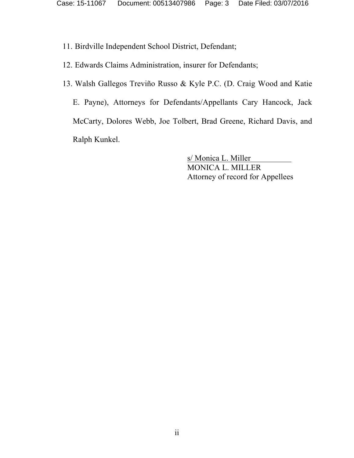- 11. Birdville Independent School District, Defendant;
- 12. Edwards Claims Administration, insurer for Defendants;
- 13. Walsh Gallegos Treviño Russo & Kyle P.C. (D. Craig Wood and Katie E. Payne), Attorneys for Defendants/Appellants Cary Hancock, Jack McCarty, Dolores Webb, Joe Tolbert, Brad Greene, Richard Davis, and Ralph Kunkel.

s/ Monica L. Miller MONICA L. MILLER Attorney of record for Appellees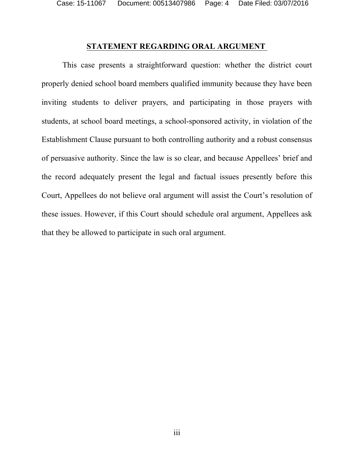Case: 15-11067 Document: 00513407986 Page: 4 Date Filed: 03/07/2016

### **STATEMENT REGARDING ORAL ARGUMENT**

This case presents a straightforward question: whether the district court properly denied school board members qualified immunity because they have been inviting students to deliver prayers, and participating in those prayers with students, at school board meetings, a school-sponsored activity, in violation of the Establishment Clause pursuant to both controlling authority and a robust consensus of persuasive authority. Since the law is so clear, and because Appellees' brief and the record adequately present the legal and factual issues presently before this Court, Appellees do not believe oral argument will assist the Court's resolution of these issues. However, if this Court should schedule oral argument, Appellees ask that they be allowed to participate in such oral argument.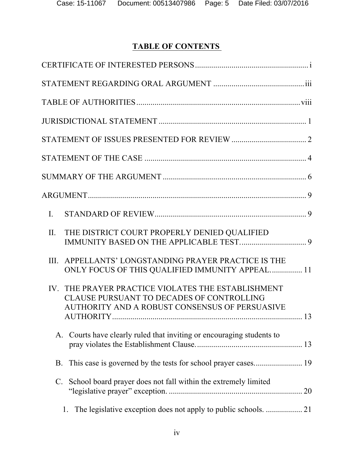# **TABLE OF CONTENTS**

| $\mathbf{L}$                                                                                                                                        |  |
|-----------------------------------------------------------------------------------------------------------------------------------------------------|--|
| THE DISTRICT COURT PROPERLY DENIED QUALIFIED<br>II.                                                                                                 |  |
| APPELLANTS' LONGSTANDING PRAYER PRACTICE IS THE<br>III.<br>ONLY FOCUS OF THIS QUALIFIED IMMUNITY APPEAL 11                                          |  |
| THE PRAYER PRACTICE VIOLATES THE ESTABLISHMENT<br>IV<br>CLAUSE PURSUANT TO DECADES OF CONTROLLING<br>AUTHORITY AND A ROBUST CONSENSUS OF PERSUASIVE |  |
| Courts have clearly ruled that inviting or encouraging students to<br>A.                                                                            |  |
| B.                                                                                                                                                  |  |
| School board prayer does not fall within the extremely limited<br>$\mathbf{C}$ .                                                                    |  |
| 1.                                                                                                                                                  |  |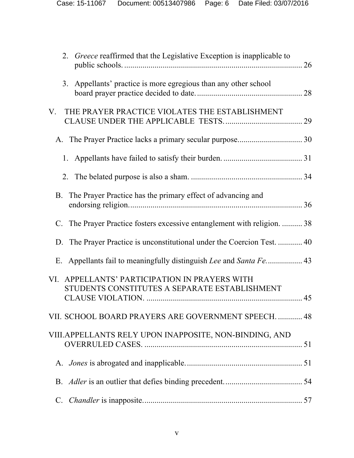|             | 2. Greece reaffirmed that the Legislative Exception is inapplicable to                         |  |
|-------------|------------------------------------------------------------------------------------------------|--|
|             | 3. Appellants' practice is more egregious than any other school                                |  |
| V.          | THE PRAYER PRACTICE VIOLATES THE ESTABLISHMENT                                                 |  |
|             |                                                                                                |  |
|             |                                                                                                |  |
|             |                                                                                                |  |
|             | B. The Prayer Practice has the primary effect of advancing and                                 |  |
|             | C. The Prayer Practice fosters excessive entanglement with religion.  38                       |  |
|             | D. The Prayer Practice is unconstitutional under the Coercion Test.  40                        |  |
|             |                                                                                                |  |
|             | VI. APPELLANTS' PARTICIPATION IN PRAYERS WITH<br>STUDENTS CONSTITUTES A SEPARATE ESTABLISHMENT |  |
|             | VII. SCHOOL BOARD PRAYERS ARE GOVERNMENT SPEECH.  48                                           |  |
|             | VIII. APPELLANTS RELY UPON INAPPOSITE, NON-BINDING, AND                                        |  |
|             |                                                                                                |  |
|             |                                                                                                |  |
| $C_{\cdot}$ |                                                                                                |  |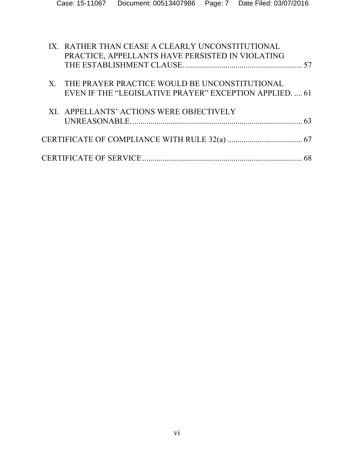| IX. RATHER THAN CEASE A CLEARLY UNCONSTITUTIONAL<br>PRACTICE, APPELLANTS HAVE PERSISTED IN VIOLATING        |  |
|-------------------------------------------------------------------------------------------------------------|--|
| X. THE PRAYER PRACTICE WOULD BE UNCONSTITUTIONAL<br>EVEN IF THE "LEGISLATIVE PRAYER" EXCEPTION APPLIED.  61 |  |
| XI. APPELLANTS' ACTIONS WERE OBJECTIVELY                                                                    |  |
|                                                                                                             |  |
|                                                                                                             |  |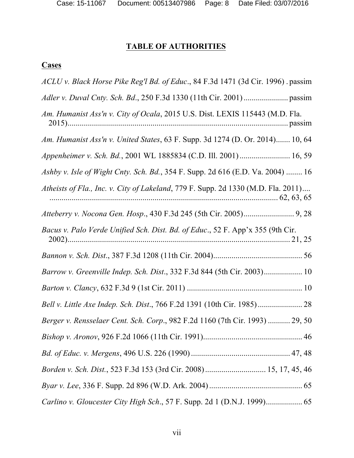# **TABLE OF AUTHORITIES**

# **Cases**

| ACLU v. Black Horse Pike Reg'l Bd. of Educ., 84 F.3d 1471 (3d Cir. 1996). passim  |
|-----------------------------------------------------------------------------------|
|                                                                                   |
| Am. Humanist Ass'n v. City of Ocala, 2015 U.S. Dist. LEXIS 115443 (M.D. Fla.      |
| Am. Humanist Ass'n v. United States, 63 F. Supp. 3d 1274 (D. Or. 2014) 10, 64     |
| Appenheimer v. Sch. Bd., 2001 WL 1885834 (C.D. Ill. 2001) 16, 59                  |
| Ashby v. Isle of Wight Cnty. Sch. Bd., 354 F. Supp. 2d 616 (E.D. Va. 2004)  16    |
| Atheists of Fla., Inc. v. City of Lakeland, 779 F. Supp. 2d 1330 (M.D. Fla. 2011) |
|                                                                                   |
| Bacus v. Palo Verde Unified Sch. Dist. Bd. of Educ., 52 F. App'x 355 (9th Cir.    |
|                                                                                   |
| Barrow v. Greenville Indep. Sch. Dist., 332 F.3d 844 (5th Cir. 2003) 10           |
|                                                                                   |
|                                                                                   |
| Berger v. Rensselaer Cent. Sch. Corp., 982 F.2d 1160 (7th Cir. 1993)  29, 50      |
|                                                                                   |
|                                                                                   |
| Borden v. Sch. Dist., 523 F.3d 153 (3rd Cir. 2008) 15, 17, 45, 46                 |
|                                                                                   |
| Carlino v. Gloucester City High Sch., 57 F. Supp. 2d 1 (D.N.J. 1999) 65           |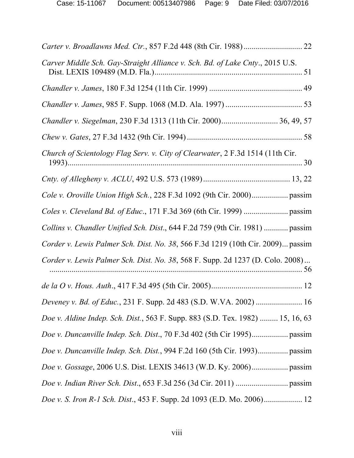| Carver Middle Sch. Gay-Straight Alliance v. Sch. Bd. of Lake Cnty., 2015 U.S.        |  |
|--------------------------------------------------------------------------------------|--|
|                                                                                      |  |
|                                                                                      |  |
| Chandler v. Siegelman, 230 F.3d 1313 (11th Cir. 2000) 36, 49, 57                     |  |
|                                                                                      |  |
| Church of Scientology Flag Serv. v. City of Clearwater, 2 F.3d 1514 (11th Cir.       |  |
|                                                                                      |  |
| Cole v. Oroville Union High Sch., 228 F.3d 1092 (9th Cir. 2000) passim               |  |
|                                                                                      |  |
| Collins v. Chandler Unified Sch. Dist., 644 F.2d 759 (9th Cir. 1981)  passim         |  |
| Corder v. Lewis Palmer Sch. Dist. No. 38, 566 F.3d 1219 (10th Cir. 2009) passim      |  |
| Corder v. Lewis Palmer Sch. Dist. No. 38, 568 F. Supp. 2d 1237 (D. Colo. 2008)<br>56 |  |
|                                                                                      |  |
| Deveney v. Bd. of Educ., 231 F. Supp. 2d 483 (S.D. W.VA. 2002)  16                   |  |
| Doe v. Aldine Indep. Sch. Dist., 563 F. Supp. 883 (S.D. Tex. 1982)  15, 16, 63       |  |
| Doe v. Duncanville Indep. Sch. Dist., 70 F.3d 402 (5th Cir 1995) passim              |  |
|                                                                                      |  |
|                                                                                      |  |
|                                                                                      |  |
| Doe v. S. Iron R-1 Sch. Dist., 453 F. Supp. 2d 1093 (E.D. Mo. 2006) 12               |  |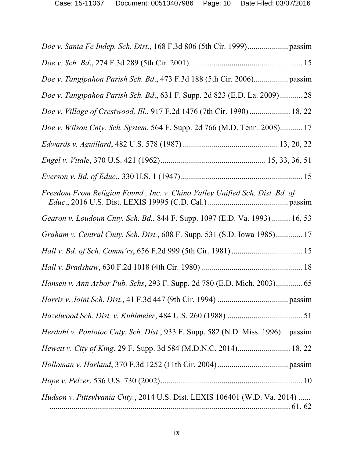| Hudson v. Pittsylvania Cnty., 2014 U.S. Dist. LEXIS 106401 (W.D. Va. 2014)               |
|------------------------------------------------------------------------------------------|
|                                                                                          |
|                                                                                          |
|                                                                                          |
| <i>Herdahl v. Pontotoc Cnty. Sch. Dist.</i> , 933 F. Supp. 582 (N.D. Miss. 1996)  passim |
|                                                                                          |
|                                                                                          |
| Hansen v. Ann Arbor Pub. Schs, 293 F. Supp. 2d 780 (E.D. Mich. 2003) 65                  |
|                                                                                          |
|                                                                                          |
| Graham v. Central Cmty. Sch. Dist., 608 F. Supp. 531 (S.D. Iowa 1985) 17                 |
| Gearon v. Loudoun Cnty. Sch. Bd., 844 F. Supp. 1097 (E.D. Va. 1993)  16, 53              |
| Freedom From Religion Found., Inc. v. Chino Valley Unified Sch. Dist. Bd. of             |
|                                                                                          |
|                                                                                          |
|                                                                                          |
| Doe v. Wilson Cnty. Sch. System, 564 F. Supp. 2d 766 (M.D. Tenn. 2008) 17                |
| Doe v. Village of Crestwood, Ill., 917 F.2d 1476 (7th Cir. 1990)  18, 22                 |
| Doe v. Tangipahoa Parish Sch. Bd., 631 F. Supp. 2d 823 (E.D. La. 2009) 28                |
| Doe v. Tangipahoa Parish Sch. Bd., 473 F.3d 188 (5th Cir. 2006) passim                   |
|                                                                                          |
|                                                                                          |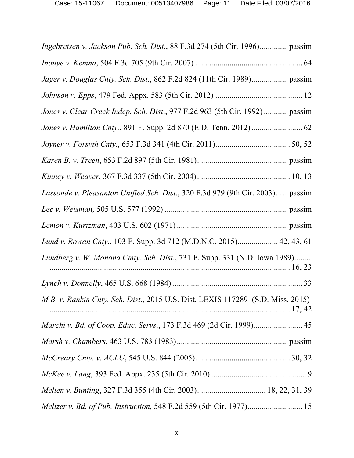| Ingebretsen v. Jackson Pub. Sch. Dist., 88 F.3d 274 (5th Cir. 1996) passim      |  |
|---------------------------------------------------------------------------------|--|
|                                                                                 |  |
| Jager v. Douglas Cnty. Sch. Dist., 862 F.2d 824 (11th Cir. 1989) passim         |  |
|                                                                                 |  |
| Jones v. Clear Creek Indep. Sch. Dist., 977 F.2d 963 (5th Cir. 1992)  passim    |  |
|                                                                                 |  |
|                                                                                 |  |
|                                                                                 |  |
|                                                                                 |  |
| Lassonde v. Pleasanton Unified Sch. Dist., 320 F.3d 979 (9th Cir. 2003) passim  |  |
|                                                                                 |  |
|                                                                                 |  |
| Lund v. Rowan Cnty., 103 F. Supp. 3d 712 (M.D.N.C. 2015) 42, 43, 61             |  |
| Lundberg v. W. Monona Cmty. Sch. Dist., 731 F. Supp. 331 (N.D. Iowa 1989)       |  |
|                                                                                 |  |
| M.B. v. Rankin Cnty. Sch. Dist., 2015 U.S. Dist. LEXIS 117289 (S.D. Miss. 2015) |  |
| Marchi v. Bd. of Coop. Educ. Servs., 173 F.3d 469 (2d Cir. 1999) 45             |  |
|                                                                                 |  |
|                                                                                 |  |
|                                                                                 |  |
|                                                                                 |  |
|                                                                                 |  |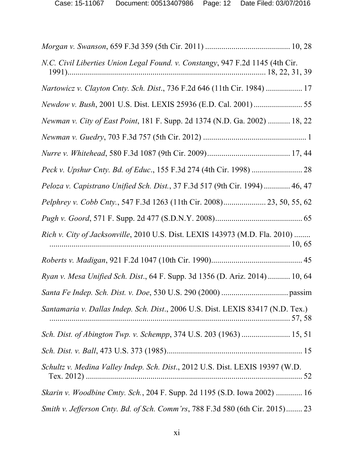| N.C. Civil Liberties Union Legal Found. v. Constangy, 947 F.2d 1145 (4th Cir.    |  |
|----------------------------------------------------------------------------------|--|
| Nartowicz v. Clayton Cnty. Sch. Dist., 736 F.2d 646 (11th Cir. 1984)  17         |  |
| Newdow v. Bush, 2001 U.S. Dist. LEXIS 25936 (E.D. Cal. 2001)  55                 |  |
| Newman v. City of East Point, 181 F. Supp. 2d 1374 (N.D. Ga. 2002)  18, 22       |  |
|                                                                                  |  |
|                                                                                  |  |
|                                                                                  |  |
| Peloza v. Capistrano Unified Sch. Dist., 37 F.3d 517 (9th Cir. 1994)  46, 47     |  |
| Pelphrey v. Cobb Cnty., 547 F.3d 1263 (11th Cir. 2008) 23, 50, 55, 62            |  |
|                                                                                  |  |
| Rich v. City of Jacksonville, 2010 U.S. Dist. LEXIS 143973 (M.D. Fla. 2010)      |  |
|                                                                                  |  |
| Ryan v. Mesa Unified Sch. Dist., 64 F. Supp. 3d 1356 (D. Ariz. 2014)  10, 64     |  |
|                                                                                  |  |
| Santamaria v. Dallas Indep. Sch. Dist., 2006 U.S. Dist. LEXIS 83417 (N.D. Tex.)  |  |
| Sch. Dist. of Abington Twp. v. Schempp, 374 U.S. 203 (1963)  15, 51              |  |
|                                                                                  |  |
| Schultz v. Medina Valley Indep. Sch. Dist., 2012 U.S. Dist. LEXIS 19397 (W.D.    |  |
| <i>Skarin v. Woodbine Cmty. Sch.</i> , 204 F. Supp. 2d 1195 (S.D. Iowa 2002)  16 |  |
| Smith v. Jefferson Cnty. Bd. of Sch. Comm'rs, 788 F.3d 580 (6th Cir. 2015) 23    |  |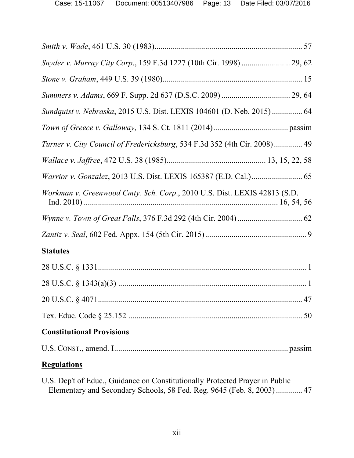| Snyder v. Murray City Corp., 159 F.3d 1227 (10th Cir. 1998)  29, 62        |  |
|----------------------------------------------------------------------------|--|
|                                                                            |  |
|                                                                            |  |
| Sundquist v. Nebraska, 2015 U.S. Dist. LEXIS 104601 (D. Neb. 2015)  64     |  |
|                                                                            |  |
| Turner v. City Council of Fredericksburg, 534 F.3d 352 (4th Cir. 2008)  49 |  |
|                                                                            |  |
|                                                                            |  |
| Workman v. Greenwood Cmty. Sch. Corp., 2010 U.S. Dist. LEXIS 42813 (S.D.   |  |
|                                                                            |  |
|                                                                            |  |
| <b>Statutes</b>                                                            |  |
|                                                                            |  |
|                                                                            |  |
|                                                                            |  |
|                                                                            |  |
| <b>Constitutional Provisions</b>                                           |  |
|                                                                            |  |
|                                                                            |  |

# **Regulations**

U.S. Dep't of Educ., Guidance on Constitutionally Protected Prayer in Public Elementary and Secondary Schools, 58 Fed. Reg. 9645 (Feb. 8, 2003)............. 47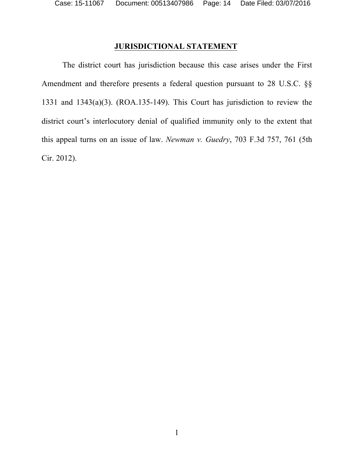# **JURISDICTIONAL STATEMENT**

The district court has jurisdiction because this case arises under the First Amendment and therefore presents a federal question pursuant to 28 U.S.C. §§ 1331 and 1343(a)(3). (ROA.135-149). This Court has jurisdiction to review the district court's interlocutory denial of qualified immunity only to the extent that this appeal turns on an issue of law. *Newman v. Guedry*, 703 F.3d 757, 761 (5th Cir. 2012).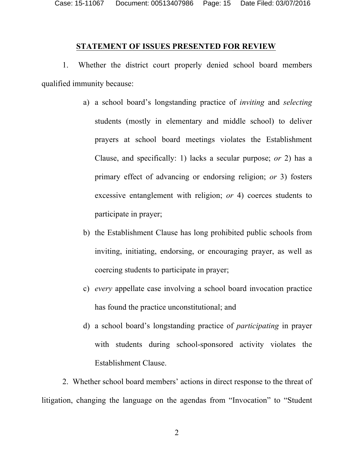Case: 15-11067 Document: 00513407986 Page: 15 Date Filed: 03/07/2016

#### **STATEMENT OF ISSUES PRESENTED FOR REVIEW**

1. Whether the district court properly denied school board members qualified immunity because:

- a) a school board's longstanding practice of *inviting* and *selecting* students (mostly in elementary and middle school) to deliver prayers at school board meetings violates the Establishment Clause, and specifically: 1) lacks a secular purpose; *or* 2) has a primary effect of advancing or endorsing religion; *or* 3) fosters excessive entanglement with religion; *or* 4) coerces students to participate in prayer;
- b) the Establishment Clause has long prohibited public schools from inviting, initiating, endorsing, or encouraging prayer, as well as coercing students to participate in prayer;
- c) *every* appellate case involving a school board invocation practice has found the practice unconstitutional; and
- d) a school board's longstanding practice of *participating* in prayer with students during school-sponsored activity violates the Establishment Clause.

2. Whether school board members' actions in direct response to the threat of litigation, changing the language on the agendas from "Invocation" to "Student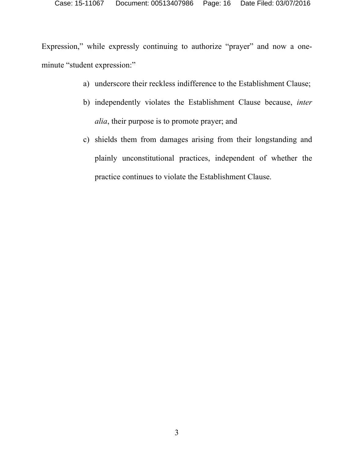Expression," while expressly continuing to authorize "prayer" and now a oneminute "student expression:"

- a) underscore their reckless indifference to the Establishment Clause;
- b) independently violates the Establishment Clause because, *inter alia*, their purpose is to promote prayer; and
- c) shields them from damages arising from their longstanding and plainly unconstitutional practices, independent of whether the practice continues to violate the Establishment Clause.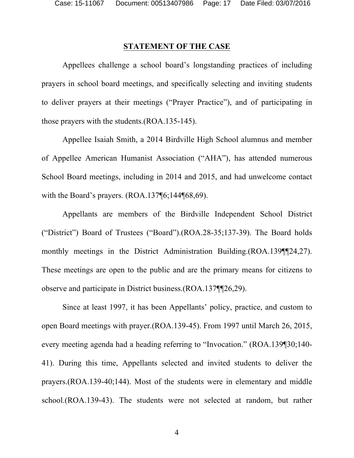## **STATEMENT OF THE CASE**

Appellees challenge a school board's longstanding practices of including prayers in school board meetings, and specifically selecting and inviting students to deliver prayers at their meetings ("Prayer Practice"), and of participating in those prayers with the students.(ROA.135-145).

Appellee Isaiah Smith, a 2014 Birdville High School alumnus and member of Appellee American Humanist Association ("AHA"), has attended numerous School Board meetings, including in 2014 and 2015, and had unwelcome contact with the Board's prayers. (ROA.137¶6;144¶68,69).

Appellants are members of the Birdville Independent School District ("District") Board of Trustees ("Board").(ROA.28-35;137-39). The Board holds monthly meetings in the District Administration Building.(ROA.139¶¶24,27). These meetings are open to the public and are the primary means for citizens to observe and participate in District business.(ROA.137¶¶26,29).

Since at least 1997, it has been Appellants' policy, practice, and custom to open Board meetings with prayer.(ROA.139-45). From 1997 until March 26, 2015, every meeting agenda had a heading referring to "Invocation." (ROA.139¶30;140- 41). During this time, Appellants selected and invited students to deliver the prayers.(ROA.139-40;144). Most of the students were in elementary and middle school.(ROA.139-43). The students were not selected at random, but rather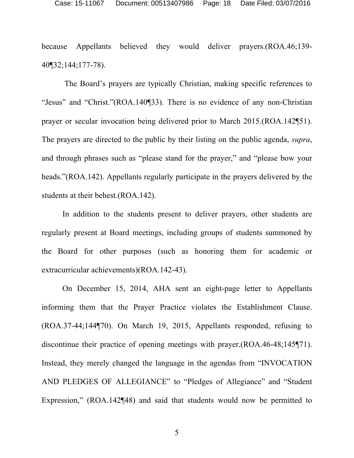because Appellants believed they would deliver prayers.(ROA.46;139- 40¶32;144;177-78).

The Board's prayers are typically Christian, making specific references to "Jesus" and "Christ."(ROA.140¶33). There is no evidence of any non-Christian prayer or secular invocation being delivered prior to March 2015.(ROA.142¶51). The prayers are directed to the public by their listing on the public agenda, *supra*, and through phrases such as "please stand for the prayer," and "please bow your heads."(ROA.142). Appellants regularly participate in the prayers delivered by the students at their behest.(ROA.142).

In addition to the students present to deliver prayers, other students are regularly present at Board meetings, including groups of students summoned by the Board for other purposes (such as honoring them for academic or extracurricular achievements)(ROA.142-43).

On December 15, 2014, AHA sent an eight-page letter to Appellants informing them that the Prayer Practice violates the Establishment Clause. (ROA.37-44;144¶70). On March 19, 2015, Appellants responded, refusing to discontinue their practice of opening meetings with prayer.(ROA.46-48;145¶71). Instead, they merely changed the language in the agendas from "INVOCATION AND PLEDGES OF ALLEGIANCE" to "Pledges of Allegiance" and "Student Expression," (ROA.142¶48) and said that students would now be permitted to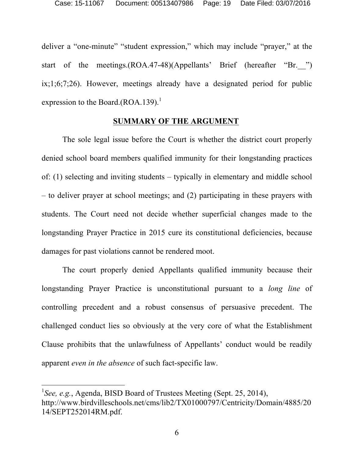deliver a "one-minute" "student expression," which may include "prayer," at the start of the meetings.(ROA.47-48)(Appellants' Brief (hereafter "Br. ") ix;1;6;7;26). However, meetings already have a designated period for public expression to the Board. $(ROA.139).$ <sup>1</sup>

### **SUMMARY OF THE ARGUMENT**

The sole legal issue before the Court is whether the district court properly denied school board members qualified immunity for their longstanding practices of: (1) selecting and inviting students – typically in elementary and middle school – to deliver prayer at school meetings; and (2) participating in these prayers with students. The Court need not decide whether superficial changes made to the longstanding Prayer Practice in 2015 cure its constitutional deficiencies, because damages for past violations cannot be rendered moot.

The court properly denied Appellants qualified immunity because their longstanding Prayer Practice is unconstitutional pursuant to a *long line* of controlling precedent and a robust consensus of persuasive precedent. The challenged conduct lies so obviously at the very core of what the Establishment Clause prohibits that the unlawfulness of Appellants' conduct would be readily apparent *even in the absence* of such fact-specific law.

<sup>&</sup>lt;sup>1</sup>See, e.g., Agenda, BISD Board of Trustees Meeting (Sept. 25, 2014), http://www.birdvilleschools.net/cms/lib2/TX01000797/Centricity/Domain/4885/20 14/SEPT252014RM.pdf.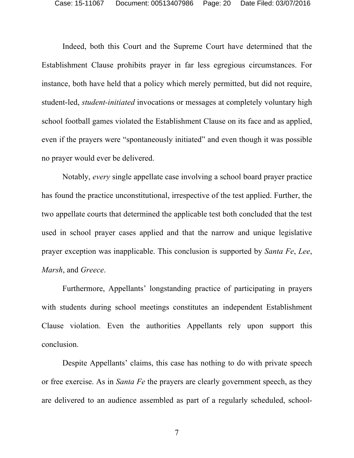Indeed, both this Court and the Supreme Court have determined that the Establishment Clause prohibits prayer in far less egregious circumstances. For instance, both have held that a policy which merely permitted, but did not require, student-led, *student-initiated* invocations or messages at completely voluntary high school football games violated the Establishment Clause on its face and as applied, even if the prayers were "spontaneously initiated" and even though it was possible no prayer would ever be delivered.

Notably, *every* single appellate case involving a school board prayer practice has found the practice unconstitutional, irrespective of the test applied. Further, the two appellate courts that determined the applicable test both concluded that the test used in school prayer cases applied and that the narrow and unique legislative prayer exception was inapplicable. This conclusion is supported by *Santa Fe*, *Lee*, *Marsh*, and *Greece*.

Furthermore, Appellants' longstanding practice of participating in prayers with students during school meetings constitutes an independent Establishment Clause violation. Even the authorities Appellants rely upon support this conclusion.

Despite Appellants' claims, this case has nothing to do with private speech or free exercise. As in *Santa Fe* the prayers are clearly government speech, as they are delivered to an audience assembled as part of a regularly scheduled, school-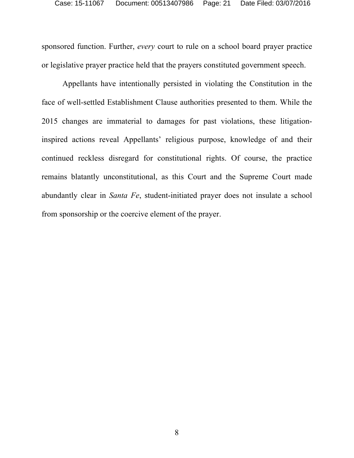sponsored function. Further, *every* court to rule on a school board prayer practice or legislative prayer practice held that the prayers constituted government speech.

Appellants have intentionally persisted in violating the Constitution in the face of well-settled Establishment Clause authorities presented to them. While the 2015 changes are immaterial to damages for past violations, these litigationinspired actions reveal Appellants' religious purpose, knowledge of and their continued reckless disregard for constitutional rights. Of course, the practice remains blatantly unconstitutional, as this Court and the Supreme Court made abundantly clear in *Santa Fe*, student-initiated prayer does not insulate a school from sponsorship or the coercive element of the prayer.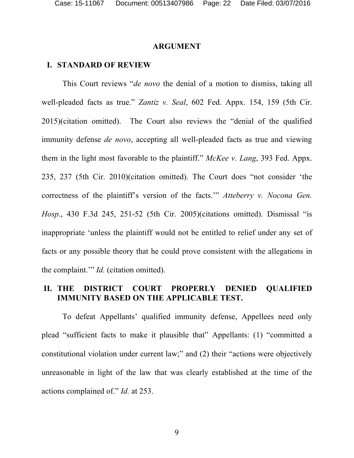#### **ARGUMENT**

#### **I. STANDARD OF REVIEW**

This Court reviews "*de novo* the denial of a motion to dismiss, taking all well-pleaded facts as true." *Zantiz v. Seal*, 602 Fed. Appx. 154, 159 (5th Cir. 2015)(citation omitted). The Court also reviews the "denial of the qualified immunity defense *de novo*, accepting all well-pleaded facts as true and viewing them in the light most favorable to the plaintiff." *McKee v. Lang*, 393 Fed. Appx. 235, 237 (5th Cir. 2010)(citation omitted). The Court does "not consider 'the correctness of the plaintiff's version of the facts.'" *Atteberry v. Nocona Gen. Hosp*., 430 F.3d 245, 251-52 (5th Cir. 2005)(citations omitted). Dismissal "is inappropriate 'unless the plaintiff would not be entitled to relief under any set of facts or any possible theory that he could prove consistent with the allegations in the complaint.'" *Id.* (citation omitted).

## **II. THE DISTRICT COURT PROPERLY DENIED QUALIFIED IMMUNITY BASED ON THE APPLICABLE TEST.**

To defeat Appellants' qualified immunity defense, Appellees need only plead "sufficient facts to make it plausible that" Appellants: (1) "committed a constitutional violation under current law;" and (2) their "actions were objectively unreasonable in light of the law that was clearly established at the time of the actions complained of." *Id.* at 253.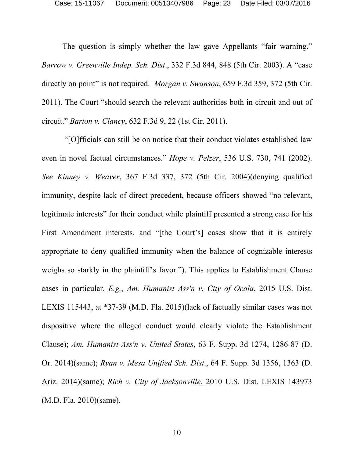The question is simply whether the law gave Appellants "fair warning." *Barrow v. Greenville Indep. Sch. Dist*., 332 F.3d 844, 848 (5th Cir. 2003). A "case directly on point" is not required. *Morgan v. Swanson*, 659 F.3d 359, 372 (5th Cir. 2011). The Court "should search the relevant authorities both in circuit and out of circuit." *Barton v. Clancy*, 632 F.3d 9, 22 (1st Cir. 2011).

"[O]fficials can still be on notice that their conduct violates established law even in novel factual circumstances." *Hope v. Pelzer*, 536 U.S. 730, 741 (2002). *See Kinney v. Weaver*, 367 F.3d 337, 372 (5th Cir. 2004)(denying qualified immunity, despite lack of direct precedent, because officers showed "no relevant, legitimate interests" for their conduct while plaintiff presented a strong case for his First Amendment interests, and "[the Court's] cases show that it is entirely appropriate to deny qualified immunity when the balance of cognizable interests weighs so starkly in the plaintiff's favor."). This applies to Establishment Clause cases in particular. *E.g.*, *Am. Humanist Ass'n v. City of Ocala*, 2015 U.S. Dist. LEXIS 115443, at \*37-39 (M.D. Fla. 2015)(lack of factually similar cases was not dispositive where the alleged conduct would clearly violate the Establishment Clause); *Am. Humanist Ass'n v. United States*, 63 F. Supp. 3d 1274, 1286-87 (D. Or. 2014)(same); *Ryan v. Mesa Unified Sch. Dist*., 64 F. Supp. 3d 1356, 1363 (D. Ariz. 2014)(same); *Rich v. City of Jacksonville*, 2010 U.S. Dist. LEXIS 143973 (M.D. Fla. 2010)(same).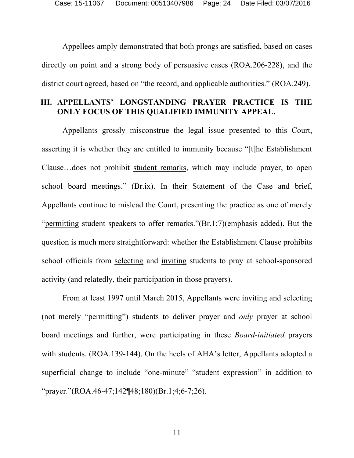Appellees amply demonstrated that both prongs are satisfied, based on cases directly on point and a strong body of persuasive cases (ROA.206-228), and the district court agreed, based on "the record, and applicable authorities." (ROA.249).

# **III. APPELLANTS' LONGSTANDING PRAYER PRACTICE IS THE ONLY FOCUS OF THIS QUALIFIED IMMUNITY APPEAL.**

Appellants grossly misconstrue the legal issue presented to this Court, asserting it is whether they are entitled to immunity because "[t]he Establishment Clause…does not prohibit student remarks, which may include prayer, to open school board meetings." (Br.ix). In their Statement of the Case and brief, Appellants continue to mislead the Court, presenting the practice as one of merely "permitting student speakers to offer remarks."(Br.1;7)(emphasis added). But the question is much more straightforward: whether the Establishment Clause prohibits school officials from selecting and inviting students to pray at school-sponsored activity (and relatedly, their participation in those prayers).

From at least 1997 until March 2015, Appellants were inviting and selecting (not merely "permitting") students to deliver prayer and *only* prayer at school board meetings and further, were participating in these *Board-initiated* prayers with students. (ROA.139-144). On the heels of AHA's letter, Appellants adopted a superficial change to include "one-minute" "student expression" in addition to "prayer."(ROA.46-47;142¶48;180)(Br.1;4;6-7;26).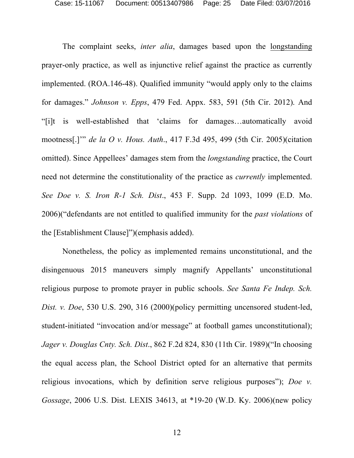The complaint seeks, *inter alia*, damages based upon the longstanding prayer-only practice, as well as injunctive relief against the practice as currently implemented. (ROA.146-48). Qualified immunity "would apply only to the claims for damages." *Johnson v. Epps*, 479 Fed. Appx. 583, 591 (5th Cir. 2012). And "[i]t is well-established that 'claims for damages…automatically avoid mootness[.]'" *de la O v. Hous. Auth*., 417 F.3d 495, 499 (5th Cir. 2005)(citation omitted). Since Appellees' damages stem from the *longstanding* practice, the Court need not determine the constitutionality of the practice as *currently* implemented. *See Doe v. S. Iron R-1 Sch. Dist*., 453 F. Supp. 2d 1093, 1099 (E.D. Mo. 2006)("defendants are not entitled to qualified immunity for the *past violations* of the [Establishment Clause]")(emphasis added).

Nonetheless, the policy as implemented remains unconstitutional, and the disingenuous 2015 maneuvers simply magnify Appellants' unconstitutional religious purpose to promote prayer in public schools. *See Santa Fe Indep. Sch. Dist. v. Doe*, 530 U.S. 290, 316 (2000)(policy permitting uncensored student-led, student-initiated "invocation and/or message" at football games unconstitutional); *Jager v. Douglas Cnty. Sch. Dist*., 862 F.2d 824, 830 (11th Cir. 1989)("In choosing the equal access plan, the School District opted for an alternative that permits religious invocations, which by definition serve religious purposes"); *Doe v. Gossage*, 2006 U.S. Dist. LEXIS 34613, at \*19-20 (W.D. Ky. 2006)(new policy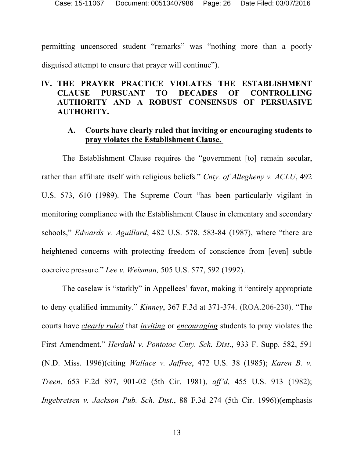permitting uncensored student "remarks" was "nothing more than a poorly disguised attempt to ensure that prayer will continue").

# **IV. THE PRAYER PRACTICE VIOLATES THE ESTABLISHMENT CLAUSE PURSUANT TO DECADES OF CONTROLLING AUTHORITY AND A ROBUST CONSENSUS OF PERSUASIVE AUTHORITY.**

### **A. Courts have clearly ruled that inviting or encouraging students to pray violates the Establishment Clause.**

The Establishment Clause requires the "government [to] remain secular, rather than affiliate itself with religious beliefs." *Cnty. of Allegheny v. ACLU*, 492 U.S. 573, 610 (1989). The Supreme Court "has been particularly vigilant in monitoring compliance with the Establishment Clause in elementary and secondary schools," *Edwards v. Aguillard*, 482 U.S. 578, 583-84 (1987), where "there are heightened concerns with protecting freedom of conscience from [even] subtle coercive pressure." *Lee v. Weisman,* 505 U.S. 577, 592 (1992).

The caselaw is "starkly" in Appellees' favor, making it "entirely appropriate to deny qualified immunity." *Kinney*, 367 F.3d at 371-374. (ROA.206-230). "The courts have *clearly ruled* that *inviting* or *encouraging* students to pray violates the First Amendment." *Herdahl v. Pontotoc Cnty. Sch. Dist*., 933 F. Supp. 582, 591 (N.D. Miss. 1996)(citing *Wallace v. Jaffree*, 472 U.S. 38 (1985); *Karen B. v. Treen*, 653 F.2d 897, 901-02 (5th Cir. 1981), *aff'd*, 455 U.S. 913 (1982); *Ingebretsen v. Jackson Pub. Sch. Dist.*, 88 F.3d 274 (5th Cir. 1996))(emphasis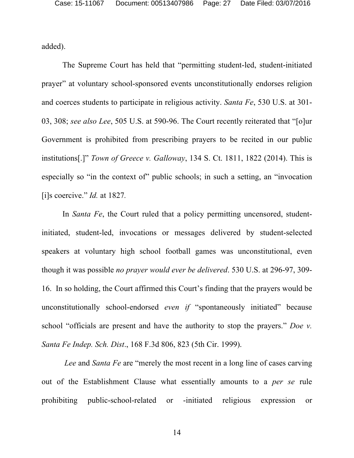added).

The Supreme Court has held that "permitting student-led, student-initiated prayer" at voluntary school-sponsored events unconstitutionally endorses religion and coerces students to participate in religious activity. *Santa Fe*, 530 U.S. at 301- 03, 308; *see also Lee*, 505 U.S. at 590-96. The Court recently reiterated that "[o]ur Government is prohibited from prescribing prayers to be recited in our public institutions[.]" *Town of Greece v. Galloway*, 134 S. Ct. 1811, 1822 (2014). This is especially so "in the context of" public schools; in such a setting, an "invocation [i]s coercive." *Id.* at 1827*.*

In *Santa Fe*, the Court ruled that a policy permitting uncensored, studentinitiated, student-led, invocations or messages delivered by student-selected speakers at voluntary high school football games was unconstitutional, even though it was possible *no prayer would ever be delivered*. 530 U.S. at 296-97, 309- 16. In so holding, the Court affirmed this Court's finding that the prayers would be unconstitutionally school-endorsed *even if* "spontaneously initiated" because school "officials are present and have the authority to stop the prayers." *Doe v. Santa Fe Indep. Sch. Dist*., 168 F.3d 806, 823 (5th Cir. 1999).

*Lee* and *Santa Fe* are "merely the most recent in a long line of cases carving out of the Establishment Clause what essentially amounts to a *per se* rule prohibiting public-school-related or -initiated religious expression or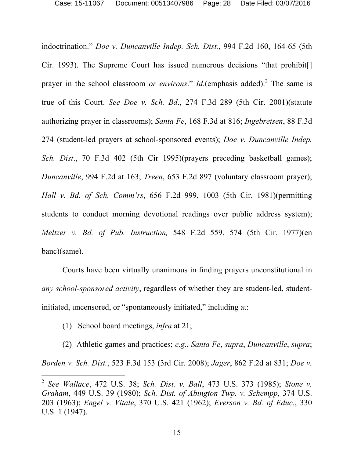indoctrination." *Doe v. Duncanville Indep. Sch. Dist.*, 994 F.2d 160, 164-65 (5th Cir. 1993). The Supreme Court has issued numerous decisions "that prohibit[] prayer in the school classroom *or environs*." *Id.*(emphasis added). <sup>2</sup> The same is true of this Court. *See Doe v. Sch. Bd*., 274 F.3d 289 (5th Cir. 2001)(statute authorizing prayer in classrooms); *Santa Fe*, 168 F.3d at 816; *Ingebretsen*, 88 F.3d 274 (student-led prayers at school-sponsored events); *Doe v. Duncanville Indep. Sch. Dist*., 70 F.3d 402 (5th Cir 1995)(prayers preceding basketball games); *Duncanville*, 994 F.2d at 163; *Treen*, 653 F.2d 897 (voluntary classroom prayer); *Hall v. Bd. of Sch. Comm'rs*, 656 F.2d 999, 1003 (5th Cir. 1981)(permitting students to conduct morning devotional readings over public address system); *Meltzer v. Bd. of Pub. Instruction,* 548 F.2d 559, 574 (5th Cir. 1977)(en banc)(same).

Courts have been virtually unanimous in finding prayers unconstitutional in *any school-sponsored activity*, regardless of whether they are student-led, studentinitiated, uncensored, or "spontaneously initiated," including at:

(1) School board meetings, *infra* at 21;

(2) Athletic games and practices; *e.g.*, *Santa Fe*, *supra*, *Duncanville*, *supra*; *Borden v. Sch. Dist.*, 523 F.3d 153 (3rd Cir. 2008); *Jager*, 862 F.2d at 831; *Doe v.* 

 <sup>2</sup> *See Wallace*, 472 U.S. 38; *Sch. Dist. v. Ball*, 473 U.S. 373 (1985); *Stone v. Graham*, 449 U.S. 39 (1980); *Sch. Dist. of Abington Twp. v. Schempp*, 374 U.S. 203 (1963); *Engel v. Vitale*, 370 U.S. 421 (1962); *Everson v. Bd. of Educ.*, 330 U.S. 1 (1947).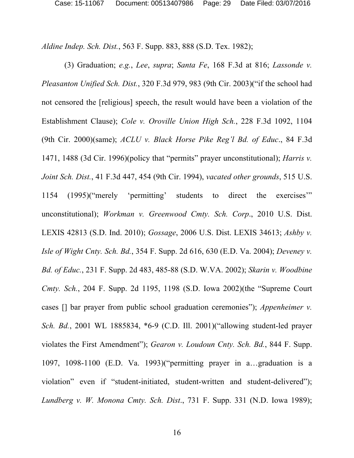*Aldine Indep. Sch. Dist.*, 563 F. Supp. 883, 888 (S.D. Tex. 1982);

(3) Graduation; *e.g.*, *Lee*, *supra*; *Santa Fe*, 168 F.3d at 816; *Lassonde v. Pleasanton Unified Sch. Dist.*, 320 F.3d 979, 983 (9th Cir. 2003)("if the school had not censored the [religious] speech, the result would have been a violation of the Establishment Clause); *Cole v. Oroville Union High Sch.*, 228 F.3d 1092, 1104 (9th Cir. 2000)(same); *ACLU v. Black Horse Pike Reg'l Bd. of Educ*., 84 F.3d 1471, 1488 (3d Cir. 1996)(policy that "permits" prayer unconstitutional); *Harris v. Joint Sch. Dist.*, 41 F.3d 447, 454 (9th Cir. 1994), *vacated other grounds*, 515 U.S. 1154 (1995)("merely 'permitting' students to direct the exercises'" unconstitutional); *Workman v. Greenwood Cmty. Sch. Corp*., 2010 U.S. Dist. LEXIS 42813 (S.D. Ind. 2010); *Gossage*, 2006 U.S. Dist. LEXIS 34613; *Ashby v. Isle of Wight Cnty. Sch. Bd.*, 354 F. Supp. 2d 616, 630 (E.D. Va. 2004); *Deveney v. Bd. of Educ.*, 231 F. Supp. 2d 483, 485-88 (S.D. W.VA. 2002); *Skarin v. Woodbine Cmty. Sch.*, 204 F. Supp. 2d 1195, 1198 (S.D. Iowa 2002)(the "Supreme Court cases [] bar prayer from public school graduation ceremonies"); *Appenheimer v. Sch. Bd.*, 2001 WL 1885834, \*6-9 (C.D. Ill. 2001)("allowing student-led prayer violates the First Amendment"); *Gearon v. Loudoun Cnty. Sch. Bd.*, 844 F. Supp. 1097, 1098-1100 (E.D. Va. 1993)("permitting prayer in a…graduation is a violation" even if "student-initiated, student-written and student-delivered"); *Lundberg v. W. Monona Cmty. Sch. Dist*., 731 F. Supp. 331 (N.D. Iowa 1989);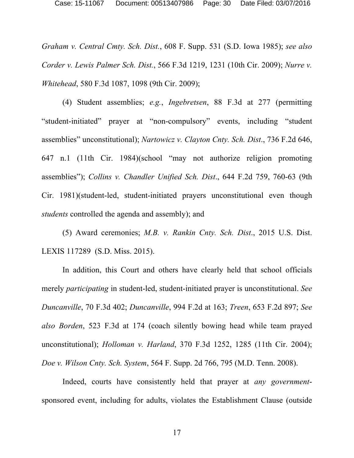*Graham v. Central Cmty. Sch. Dist.*, 608 F. Supp. 531 (S.D. Iowa 1985); *see also Corder v. Lewis Palmer Sch. Dist.*, 566 F.3d 1219, 1231 (10th Cir. 2009); *Nurre v. Whitehead*, 580 F.3d 1087, 1098 (9th Cir. 2009);

(4) Student assemblies; *e.g.*, *Ingebretsen*, 88 F.3d at 277 (permitting "student-initiated" prayer at "non-compulsory" events, including "student assemblies" unconstitutional); *Nartowicz v. Clayton Cnty. Sch. Dist*., 736 F.2d 646, 647 n.1 (11th Cir. 1984)(school "may not authorize religion promoting assemblies"); *Collins v. Chandler Unified Sch. Dist*., 644 F.2d 759, 760-63 (9th Cir. 1981)(student-led, student-initiated prayers unconstitutional even though *students* controlled the agenda and assembly); and

(5) Award ceremonies; *M.B. v. Rankin Cnty. Sch. Dist*., 2015 U.S. Dist. LEXIS 117289 (S.D. Miss. 2015).

In addition, this Court and others have clearly held that school officials merely *participating* in student-led, student-initiated prayer is unconstitutional. *See Duncanville*, 70 F.3d 402; *Duncanville*, 994 F.2d at 163; *Treen*, 653 F.2d 897; *See also Borden*, 523 F.3d at 174 (coach silently bowing head while team prayed unconstitutional); *Holloman v. Harland*, 370 F.3d 1252, 1285 (11th Cir. 2004); *Doe v. Wilson Cnty. Sch. System*, 564 F. Supp. 2d 766, 795 (M.D. Tenn. 2008).

Indeed, courts have consistently held that prayer at *any government*sponsored event, including for adults, violates the Establishment Clause (outside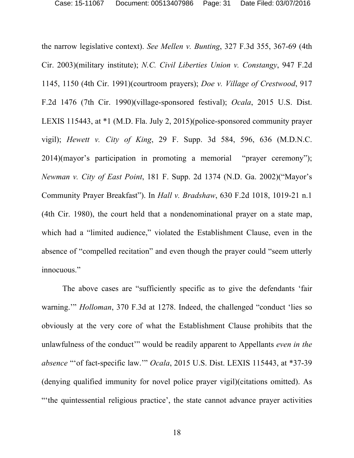the narrow legislative context). *See Mellen v. Bunting*, 327 F.3d 355, 367-69 (4th Cir. 2003)(military institute); *N.C. Civil Liberties Union v. Constangy*, 947 F.2d 1145, 1150 (4th Cir. 1991)(courtroom prayers); *Doe v. Village of Crestwood*, 917 F.2d 1476 (7th Cir. 1990)(village-sponsored festival); *Ocala*, 2015 U.S. Dist. LEXIS 115443, at \*1 (M.D. Fla. July 2, 2015)(police-sponsored community prayer vigil); *Hewett v. City of King*, 29 F. Supp. 3d 584, 596, 636 (M.D.N.C. 2014)(mayor's participation in promoting a memorial "prayer ceremony"); *Newman v. City of East Point*, 181 F. Supp. 2d 1374 (N.D. Ga. 2002)("Mayor's Community Prayer Breakfast"). In *Hall v. Bradshaw*, 630 F.2d 1018, 1019-21 n.1 (4th Cir. 1980), the court held that a nondenominational prayer on a state map, which had a "limited audience," violated the Establishment Clause, even in the absence of "compelled recitation" and even though the prayer could "seem utterly innocuous."

The above cases are "sufficiently specific as to give the defendants 'fair warning.'" *Holloman*, 370 F.3d at 1278. Indeed, the challenged "conduct 'lies so obviously at the very core of what the Establishment Clause prohibits that the unlawfulness of the conduct'" would be readily apparent to Appellants *even in the absence* "'of fact-specific law.'" *Ocala*, 2015 U.S. Dist. LEXIS 115443, at \*37-39 (denying qualified immunity for novel police prayer vigil)(citations omitted). As "'the quintessential religious practice', the state cannot advance prayer activities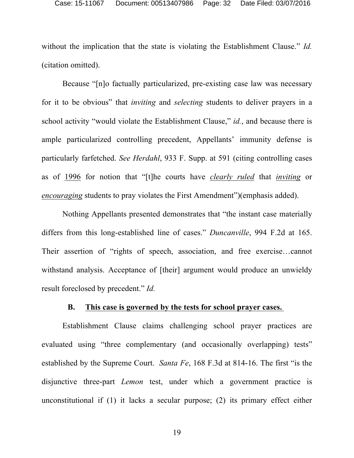without the implication that the state is violating the Establishment Clause." *Id.* (citation omitted).

Because "[n]o factually particularized, pre-existing case law was necessary for it to be obvious" that *inviting* and *selecting* students to deliver prayers in a school activity "would violate the Establishment Clause," *id.*, and because there is ample particularized controlling precedent, Appellants' immunity defense is particularly farfetched. *See Herdahl*, 933 F. Supp. at 591 (citing controlling cases as of 1996 for notion that "[t]he courts have *clearly ruled* that *inviting* or *encouraging* students to pray violates the First Amendment")(emphasis added).

Nothing Appellants presented demonstrates that "the instant case materially differs from this long-established line of cases." *Duncanville*, 994 F.2d at 165. Their assertion of "rights of speech, association, and free exercise…cannot withstand analysis. Acceptance of [their] argument would produce an unwieldy result foreclosed by precedent." *Id.* 

#### **B. This case is governed by the tests for school prayer cases.**

Establishment Clause claims challenging school prayer practices are evaluated using "three complementary (and occasionally overlapping) tests" established by the Supreme Court. *Santa Fe*, 168 F.3d at 814-16. The first "is the disjunctive three-part *Lemon* test, under which a government practice is unconstitutional if (1) it lacks a secular purpose; (2) its primary effect either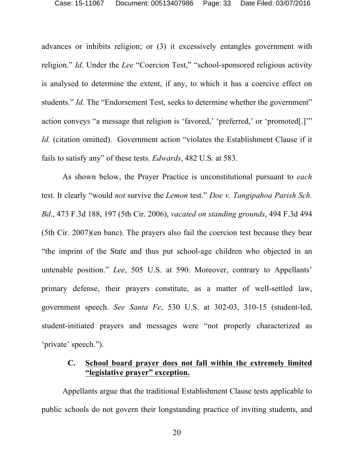advances or inhibits religion; or (3) it excessively entangles government with religion." *Id*. Under the *Lee* "Coercion Test," "school-sponsored religious activity is analysed to determine the extent, if any, to which it has a coercive effect on students." *Id.* The "Endorsement Test, seeks to determine whether the government" action conveys "a message that religion is 'favored,' 'preferred,' or 'promoted[.]'" *Id.* (citation omitted). Government action "violates the Establishment Clause if it fails to satisfy any" of these tests. *Edwards*, 482 U.S. at 583.

As shown below, the Prayer Practice is unconstitutional pursuant to *each* test*.* It clearly "would *not* survive the *Lemon* test." *Doe v. Tangipahoa Parish Sch. Bd*., 473 F.3d 188, 197 (5th Cir. 2006), *vacated on standing grounds*, 494 F.3d 494 (5th Cir. 2007)(en banc). The prayers also fail the coercion test because they bear "the imprint of the State and thus put school-age children who objected in an untenable position." *Lee*, 505 U.S. at 590. Moreover, contrary to Appellants' primary defense, their prayers constitute, as a matter of well-settled law, government speech. *See Santa Fe*, 530 U.S. at 302-03, 310-15 (student-led, student-initiated prayers and messages were "not properly characterized as 'private' speech.").

# **C. School board prayer does not fall within the extremely limited "legislative prayer" exception.**

Appellants argue that the traditional Establishment Clause tests applicable to public schools do not govern their longstanding practice of inviting students, and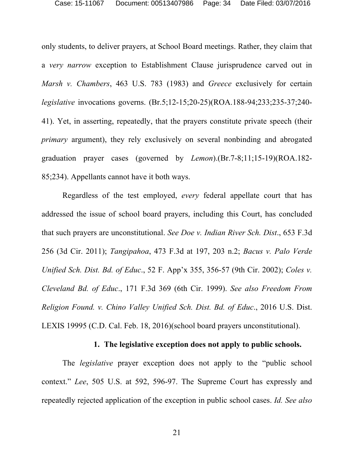only students, to deliver prayers, at School Board meetings. Rather, they claim that a *very narrow* exception to Establishment Clause jurisprudence carved out in *Marsh v. Chambers*, 463 U.S. 783 (1983) and *Greece* exclusively for certain *legislative* invocations governs. (Br.5;12-15;20-25)(ROA.188-94;233;235-37;240- 41). Yet, in asserting, repeatedly, that the prayers constitute private speech (their *primary* argument), they rely exclusively on several nonbinding and abrogated graduation prayer cases (governed by *Lemon*).(Br.7-8;11;15-19)(ROA.182- 85;234). Appellants cannot have it both ways.

Regardless of the test employed, *every* federal appellate court that has addressed the issue of school board prayers, including this Court, has concluded that such prayers are unconstitutional. *See Doe v. Indian River Sch. Dist*., 653 F.3d 256 (3d Cir. 2011); *Tangipahoa*, 473 F.3d at 197, 203 n.2; *Bacus v. Palo Verde Unified Sch. Dist. Bd. of Educ*., 52 F. App'x 355, 356-57 (9th Cir. 2002); *Coles v. Cleveland Bd. of Educ*., 171 F.3d 369 (6th Cir. 1999). *See also Freedom From Religion Found. v. Chino Valley Unified Sch. Dist. Bd. of Educ*., 2016 U.S. Dist. LEXIS 19995 (C.D. Cal. Feb. 18, 2016)(school board prayers unconstitutional).

#### **1. The legislative exception does not apply to public schools.**

The *legislative* prayer exception does not apply to the "public school context." *Lee*, 505 U.S. at 592, 596-97. The Supreme Court has expressly and repeatedly rejected application of the exception in public school cases. *Id. See also*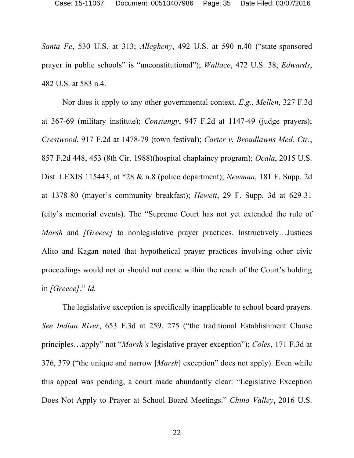*Santa Fe*, 530 U.S. at 313; *Allegheny*, 492 U.S. at 590 n.40 ("state-sponsored prayer in public schools" is "unconstitutional"); *Wallace*, 472 U.S. 38; *Edwards*, 482 U.S. at 583 n.4.

Nor does it apply to any other governmental context. *E.g.*, *Mellen*, 327 F.3d at 367-69 (military institute); *Constangy*, 947 F.2d at 1147-49 (judge prayers); *Crestwood*, 917 F.2d at 1478-79 (town festival); *Carter v. Broadlawns Med. Ctr.*, 857 F.2d 448, 453 (8th Cir. 1988)(hospital chaplaincy program); *Ocala*, 2015 U.S. Dist. LEXIS 115443, at \*28 & n.8 (police department); *Newman*, 181 F. Supp. 2d at 1378-80 (mayor's community breakfast); *Hewett*, 29 F. Supp. 3d at 629-31 (city's memorial events). The "Supreme Court has not yet extended the rule of *Marsh* and *[Greece]* to nonlegislative prayer practices. Instructively…Justices Alito and Kagan noted that hypothetical prayer practices involving other civic proceedings would not or should not come within the reach of the Court's holding in *[Greece]*." *Id.*

The legislative exception is specifically inapplicable to school board prayers. *See Indian River*, 653 F.3d at 259, 275 ("the traditional Establishment Clause principles…apply" not "*Marsh's* legislative prayer exception"); *Coles*, 171 F.3d at 376, 379 ("the unique and narrow [*Marsh*] exception" does not apply). Even while this appeal was pending, a court made abundantly clear: "Legislative Exception Does Not Apply to Prayer at School Board Meetings." *Chino Valley*, 2016 U.S.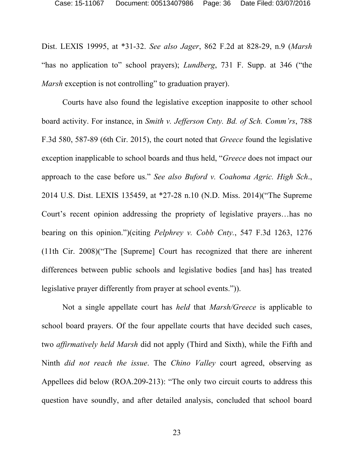Dist. LEXIS 19995, at \*31-32. *See also Jager*, 862 F.2d at 828-29, n.9 (*Marsh* "has no application to" school prayers); *Lundberg*, 731 F. Supp. at 346 ("the *Marsh* exception is not controlling" to graduation prayer).

Courts have also found the legislative exception inapposite to other school board activity. For instance, in *Smith v. Jefferson Cnty. Bd. of Sch. Comm'rs*, 788 F.3d 580, 587-89 (6th Cir. 2015), the court noted that *Greece* found the legislative exception inapplicable to school boards and thus held, "*Greece* does not impact our approach to the case before us." *See also Buford v. Coahoma Agric. High Sch*., 2014 U.S. Dist. LEXIS 135459, at \*27-28 n.10 (N.D. Miss. 2014)("The Supreme Court's recent opinion addressing the propriety of legislative prayers…has no bearing on this opinion.")(citing *Pelphrey v. Cobb Cnty.*, 547 F.3d 1263, 1276 (11th Cir. 2008)("The [Supreme] Court has recognized that there are inherent differences between public schools and legislative bodies [and has] has treated legislative prayer differently from prayer at school events.")).

Not a single appellate court has *held* that *Marsh/Greece* is applicable to school board prayers. Of the four appellate courts that have decided such cases, two *affirmatively held Marsh* did not apply (Third and Sixth), while the Fifth and Ninth *did not reach the issue*. The *Chino Valley* court agreed, observing as Appellees did below (ROA.209-213): "The only two circuit courts to address this question have soundly, and after detailed analysis, concluded that school board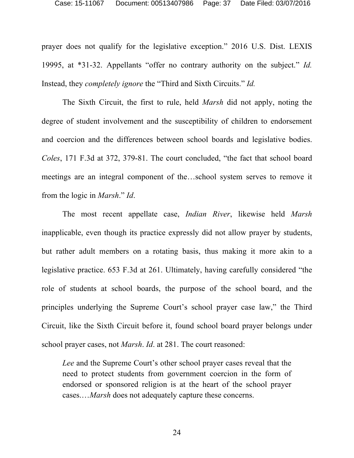prayer does not qualify for the legislative exception." 2016 U.S. Dist. LEXIS 19995, at \*31-32. Appellants "offer no contrary authority on the subject." *Id.* Instead, they *completely ignore* the "Third and Sixth Circuits." *Id.*

The Sixth Circuit, the first to rule, held *Marsh* did not apply, noting the degree of student involvement and the susceptibility of children to endorsement and coercion and the differences between school boards and legislative bodies. *Coles*, 171 F.3d at 372, 379-81. The court concluded, "the fact that school board meetings are an integral component of the…school system serves to remove it from the logic in *Marsh*." *Id*.

The most recent appellate case, *Indian River*, likewise held *Marsh*  inapplicable, even though its practice expressly did not allow prayer by students, but rather adult members on a rotating basis, thus making it more akin to a legislative practice. 653 F.3d at 261. Ultimately, having carefully considered "the role of students at school boards, the purpose of the school board, and the principles underlying the Supreme Court's school prayer case law," the Third Circuit, like the Sixth Circuit before it, found school board prayer belongs under school prayer cases, not *Marsh*. *Id*. at 281. The court reasoned:

*Lee* and the Supreme Court's other school prayer cases reveal that the need to protect students from government coercion in the form of endorsed or sponsored religion is at the heart of the school prayer cases.…*Marsh* does not adequately capture these concerns.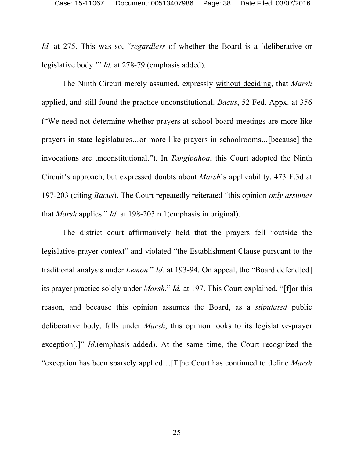*Id.* at 275. This was so, "*regardless* of whether the Board is a 'deliberative or legislative body.'" *Id.* at 278-79 (emphasis added).

The Ninth Circuit merely assumed, expressly without deciding, that *Marsh*  applied, and still found the practice unconstitutional. *Bacus*, 52 Fed. Appx. at 356 ("We need not determine whether prayers at school board meetings are more like prayers in state legislatures*…*or more like prayers in schoolrooms*…*[because] the invocations are unconstitutional."). In *Tangipahoa*, this Court adopted the Ninth Circuit's approach, but expressed doubts about *Marsh*'s applicability. 473 F.3d at 197-203 (citing *Bacus*). The Court repeatedly reiterated "this opinion *only assumes* that *Marsh* applies." *Id.* at 198-203 n.1(emphasis in original).

The district court affirmatively held that the prayers fell "outside the legislative-prayer context" and violated "the Establishment Clause pursuant to the traditional analysis under *Lemon*." *Id.* at 193-94. On appeal, the "Board defend[ed] its prayer practice solely under *Marsh*." *Id.* at 197. This Court explained, "[f]or this reason, and because this opinion assumes the Board, as a *stipulated* public deliberative body, falls under *Marsh*, this opinion looks to its legislative-prayer exception[.]" *Id.*(emphasis added). At the same time, the Court recognized the "exception has been sparsely applied…[T]he Court has continued to define *Marsh*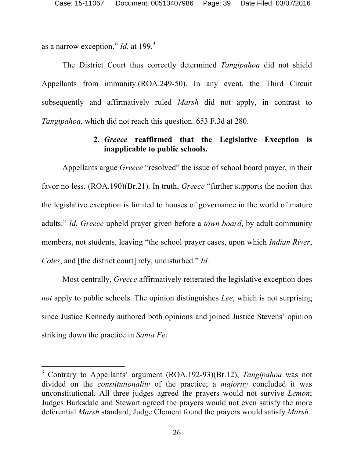as a narrow exception." *Id.* at 199. 3

The District Court thus correctly determined *Tangipahoa* did not shield Appellants from immunity.(ROA.249-50). In any event, the Third Circuit subsequently and affirmatively ruled *Marsh* did not apply, in contrast to *Tangipahoa*, which did not reach this question. 653 F.3d at 280.

## **2.** *Greece* **reaffirmed that the Legislative Exception is inapplicable to public schools.**

Appellants argue *Greece* "resolved" the issue of school board prayer, in their favor no less. (ROA.190)(Br.21). In truth, *Greece* "further supports the notion that the legislative exception is limited to houses of governance in the world of mature adults." *Id. Greece* upheld prayer given before a *town board*, by adult community members, not students, leaving "the school prayer cases, upon which *Indian River*, *Coles*, and [the district court] rely, undisturbed." *Id.* 

Most centrally, *Greece* affirmatively reiterated the legislative exception does *not* apply to public schools. The opinion distinguishes *Lee*, which is not surprising since Justice Kennedy authored both opinions and joined Justice Stevens' opinion striking down the practice in *Santa Fe*:

 <sup>3</sup> Contrary to Appellants' argument (ROA.192-93)(Br.12), *Tangipahoa* was not divided on the *constitutionality* of the practice; a *majority* concluded it was unconstitutional. All three judges agreed the prayers would not survive *Lemon*; Judges Barksdale and Stewart agreed the prayers would not even satisfy the more deferential *Marsh* standard; Judge Clement found the prayers would satisfy *Marsh.*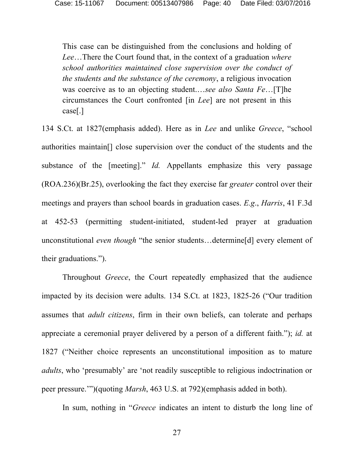This case can be distinguished from the conclusions and holding of *Lee*…There the Court found that, in the context of a graduation *where school authorities maintained close supervision over the conduct of the students and the substance of the ceremony*, a religious invocation was coercive as to an objecting student.…*see also Santa Fe*…[T]he circumstances the Court confronted [in *Lee*] are not present in this case[.]

134 S.Ct. at 1827(emphasis added). Here as in *Lee* and unlike *Greece*, "school authorities maintain[] close supervision over the conduct of the students and the substance of the [meeting]." *Id.* Appellants emphasize this very passage (ROA.236)(Br.25), overlooking the fact they exercise far *greater* control over their meetings and prayers than school boards in graduation cases. *E.g*., *Harris*, 41 F.3d at 452-53 (permitting student-initiated, student-led prayer at graduation unconstitutional *even though* "the senior students...determine[d] every element of their graduations.").

Throughout *Greece*, the Court repeatedly emphasized that the audience impacted by its decision were adults. 134 S.Ct. at 1823, 1825-26 ("Our tradition assumes that *adult citizens*, firm in their own beliefs, can tolerate and perhaps appreciate a ceremonial prayer delivered by a person of a different faith."); *id.* at 1827 ("Neither choice represents an unconstitutional imposition as to mature *adults*, who 'presumably' are 'not readily susceptible to religious indoctrination or peer pressure.'")(quoting *Marsh*, 463 U.S. at 792)(emphasis added in both).

In sum, nothing in "*Greece* indicates an intent to disturb the long line of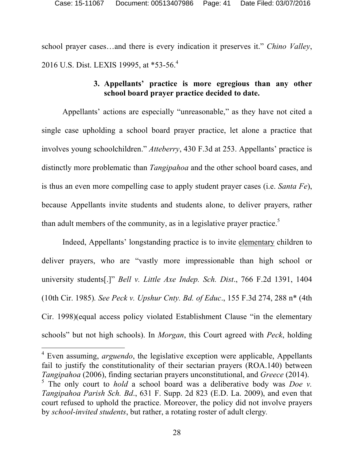school prayer cases…and there is every indication it preserves it." *Chino Valley*, 2016 U.S. Dist. LEXIS 19995, at \*53-56.<sup>4</sup>

## **3. Appellants' practice is more egregious than any other school board prayer practice decided to date.**

Appellants' actions are especially "unreasonable," as they have not cited a single case upholding a school board prayer practice, let alone a practice that involves young schoolchildren." *Atteberry*, 430 F.3d at 253. Appellants' practice is distinctly more problematic than *Tangipahoa* and the other school board cases, and is thus an even more compelling case to apply student prayer cases (i.e. *Santa Fe*), because Appellants invite students and students alone, to deliver prayers, rather than adult members of the community, as in a legislative prayer practice.<sup>5</sup>

Indeed, Appellants' longstanding practice is to invite elementary children to deliver prayers, who are "vastly more impressionable than high school or university students[.]" *Bell v. Little Axe Indep. Sch. Dist*., 766 F.2d 1391, 1404 (10th Cir. 1985)*. See Peck v. Upshur Cnty. Bd. of Educ*., 155 F.3d 274, 288 n\* (4th Cir. 1998)(equal access policy violated Establishment Clause "in the elementary schools" but not high schools). In *Morgan*, this Court agreed with *Peck*, holding

 4 Even assuming, *arguendo*, the legislative exception were applicable, Appellants fail to justify the constitutionality of their sectarian prayers (ROA.140) between *Tangipahoa* (2006), finding sectarian prayers unconstitutional, and *Greece* (2014). 5 The only court to *hold* a school board was a deliberative body was *Doe v. Tangipahoa Parish Sch. Bd*., 631 F. Supp. 2d 823 (E.D. La. 2009), and even that court refused to uphold the practice. Moreover, the policy did not involve prayers by *school-invited students*, but rather, a rotating roster of adult clergy*.*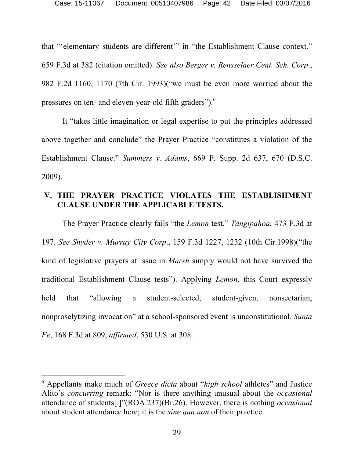that "'elementary students are different'" in "the Establishment Clause context." 659 F.3d at 382 (citation omitted). *See also Berger v. Rensselaer Cent. Sch. Corp*., 982 F.2d 1160, 1170 (7th Cir. 1993)("we must be even more worried about the pressures on ten- and eleven-year-old fifth graders").<sup>6</sup>

It "takes little imagination or legal expertise to put the principles addressed above together and conclude" the Prayer Practice "constitutes a violation of the Establishment Clause." *Summers v. Adams*, 669 F. Supp. 2d 637, 670 (D.S.C. 2009).

## **V. THE PRAYER PRACTICE VIOLATES THE ESTABLISHMENT CLAUSE UNDER THE APPLICABLE TESTS.**

The Prayer Practice clearly fails "the *Lemon* test." *Tangipahoa*, 473 F.3d at 197. *See Snyder v. Murray City Corp*., 159 F.3d 1227, 1232 (10th Cir.1998)("the kind of legislative prayers at issue in *Marsh* simply would not have survived the traditional Establishment Clause tests"). Applying *Lemon*, this Court expressly held that "allowing a student-selected, student-given, nonsectarian, nonproselytizing invocation" at a school-sponsored event is unconstitutional. *Santa Fe*, 168 F.3d at 809, *affirmed*, 530 U.S. at 308.

 <sup>6</sup> Appellants make much of *Greece dicta* about "*high school* athletes" and Justice Alito's *concurring* remark: "Nor is there anything unusual about the *occasional* attendance of students[.]"(ROA.237)(Br.26). However, there is nothing *occasional*  about student attendance here; it is the *sine qua non* of their practice.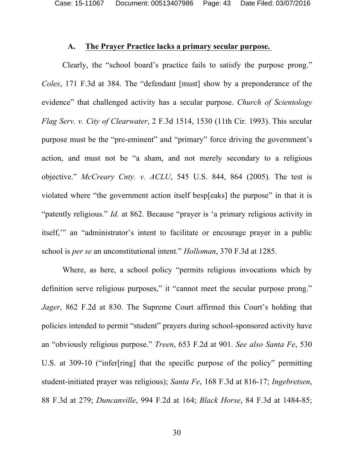Case: 15-11067 Document: 00513407986 Page: 43 Date Filed: 03/07/2016

## **A. The Prayer Practice lacks a primary secular purpose.**

Clearly, the "school board's practice fails to satisfy the purpose prong." *Coles*, 171 F.3d at 384. The "defendant [must] show by a preponderance of the evidence" that challenged activity has a secular purpose. *Church of Scientology Flag Serv. v. City of Clearwater*, 2 F.3d 1514, 1530 (11th Cir. 1993). This secular purpose must be the "pre-eminent" and "primary" force driving the government's action, and must not be "a sham, and not merely secondary to a religious objective." *McCreary Cnty. v. ACLU*, 545 U.S. 844, 864 (2005). The test is violated where "the government action itself besp[eaks] the purpose" in that it is "patently religious." *Id.* at 862. Because "prayer is 'a primary religious activity in itself," an "administrator's intent to facilitate or encourage prayer in a public school is *per se* an unconstitutional intent*.*" *Holloman*, 370 F.3d at 1285.

Where, as here, a school policy "permits religious invocations which by definition serve religious purposes," it "cannot meet the secular purpose prong." *Jager*, 862 F.2d at 830. The Supreme Court affirmed this Court's holding that policies intended to permit "student" prayers during school-sponsored activity have an "obviously religious purpose." *Treen*, 653 F.2d at 901. *See also Santa Fe*, 530 U.S. at 309-10 ("infer[ring] that the specific purpose of the policy" permitting student-initiated prayer was religious); *Santa Fe*, 168 F.3d at 816-17; *Ingebretsen*, 88 F.3d at 279; *Duncanville*, 994 F.2d at 164; *Black Horse*, 84 F.3d at 1484-85;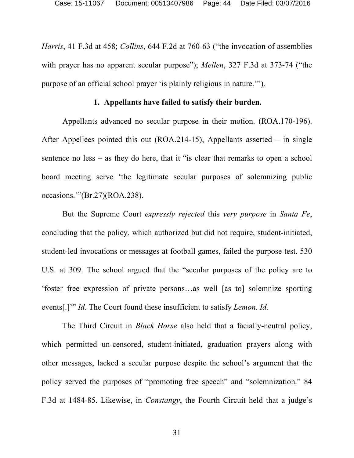*Harris*, 41 F.3d at 458; *Collins*, 644 F.2d at 760-63 ("the invocation of assemblies with prayer has no apparent secular purpose"); *Mellen*, 327 F.3d at 373-74 ("the purpose of an official school prayer 'is plainly religious in nature.'").

#### **1. Appellants have failed to satisfy their burden.**

Appellants advanced no secular purpose in their motion. (ROA.170-196). After Appellees pointed this out (ROA.214-15), Appellants asserted – in single sentence no less – as they do here, that it "is clear that remarks to open a school board meeting serve 'the legitimate secular purposes of solemnizing public occasions.'"(Br.27)(ROA.238).

But the Supreme Court *expressly rejected* this *very purpose* in *Santa Fe*, concluding that the policy, which authorized but did not require, student-initiated, student-led invocations or messages at football games, failed the purpose test. 530 U.S. at 309. The school argued that the "secular purposes of the policy are to 'foster free expression of private persons…as well [as to] solemnize sporting events[.]'" *Id.* The Court found these insufficient to satisfy *Lemon*. *Id.*

The Third Circuit in *Black Horse* also held that a facially-neutral policy, which permitted un-censored, student-initiated, graduation prayers along with other messages, lacked a secular purpose despite the school's argument that the policy served the purposes of "promoting free speech" and "solemnization." 84 F.3d at 1484-85. Likewise, in *Constangy*, the Fourth Circuit held that a judge's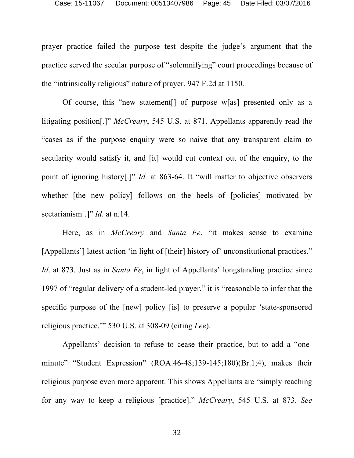prayer practice failed the purpose test despite the judge's argument that the practice served the secular purpose of "solemnifying" court proceedings because of the "intrinsically religious" nature of prayer. 947 F.2d at 1150.

Of course, this "new statement[] of purpose w[as] presented only as a litigating position[.]" *McCreary*, 545 U.S. at 871. Appellants apparently read the "cases as if the purpose enquiry were so naive that any transparent claim to secularity would satisfy it, and [it] would cut context out of the enquiry, to the point of ignoring history[.]" *Id.* at 863-64. It "will matter to objective observers whether [the new policy] follows on the heels of [policies] motivated by sectarianism[.]" *Id*. at n.14.

Here, as in *McCreary* and *Santa Fe*, "it makes sense to examine [Appellants'] latest action 'in light of [their] history of' unconstitutional practices." *Id*. at 873. Just as in *Santa Fe*, in light of Appellants' longstanding practice since 1997 of "regular delivery of a student-led prayer," it is "reasonable to infer that the specific purpose of the [new] policy [is] to preserve a popular 'state-sponsored religious practice.'" 530 U.S. at 308-09 (citing *Lee*).

Appellants' decision to refuse to cease their practice, but to add a "oneminute" "Student Expression" (ROA.46-48;139-145;180)(Br.1;4), makes their religious purpose even more apparent. This shows Appellants are "simply reaching for any way to keep a religious [practice]." *McCreary*, 545 U.S. at 873. *See*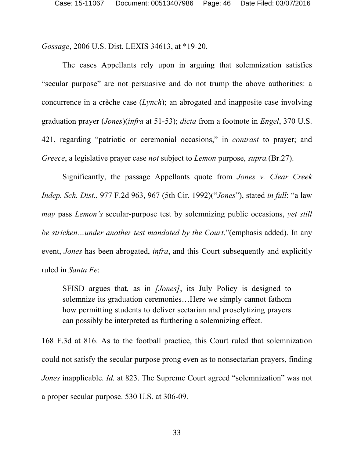*Gossage*, 2006 U.S. Dist. LEXIS 34613, at \*19-20.

The cases Appellants rely upon in arguing that solemnization satisfies "secular purpose" are not persuasive and do not trump the above authorities: a concurrence in a crèche case (*Lynch*); an abrogated and inapposite case involving graduation prayer (*Jones*)(*infra* at 51-53); *dicta* from a footnote in *Engel*, 370 U.S. 421, regarding "patriotic or ceremonial occasions," in *contrast* to prayer; and *Greece*, a legislative prayer case *not* subject to *Lemon* purpose, *supra.*(Br.27).

Significantly, the passage Appellants quote from *Jones v. Clear Creek Indep. Sch. Dist*., 977 F.2d 963, 967 (5th Cir. 1992)("*Jones*"), stated *in full*: "a law *may* pass *Lemon's* secular-purpose test by solemnizing public occasions, *yet still be stricken…under another test mandated by the Court*."(emphasis added). In any event, *Jones* has been abrogated, *infra*, and this Court subsequently and explicitly ruled in *Santa Fe*:

SFISD argues that, as in *[Jones]*, its July Policy is designed to solemnize its graduation ceremonies…Here we simply cannot fathom how permitting students to deliver sectarian and proselytizing prayers can possibly be interpreted as furthering a solemnizing effect.

168 F.3d at 816. As to the football practice, this Court ruled that solemnization could not satisfy the secular purpose prong even as to nonsectarian prayers, finding *Jones* inapplicable. *Id.* at 823. The Supreme Court agreed "solemnization" was not a proper secular purpose. 530 U.S. at 306-09.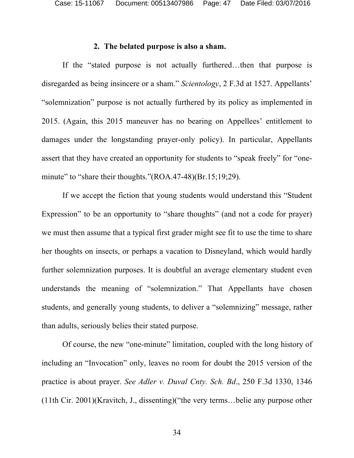Case: 15-11067 Document: 00513407986 Page: 47 Date Filed: 03/07/2016

#### **2. The belated purpose is also a sham.**

If the "stated purpose is not actually furthered…then that purpose is disregarded as being insincere or a sham." *Scientology*, 2 F.3d at 1527. Appellants' "solemnization" purpose is not actually furthered by its policy as implemented in 2015. (Again, this 2015 maneuver has no bearing on Appellees' entitlement to damages under the longstanding prayer-only policy). In particular, Appellants assert that they have created an opportunity for students to "speak freely" for "oneminute" to "share their thoughts."(ROA.47-48)(Br.15;19;29).

If we accept the fiction that young students would understand this "Student Expression" to be an opportunity to "share thoughts" (and not a code for prayer) we must then assume that a typical first grader might see fit to use the time to share her thoughts on insects, or perhaps a vacation to Disneyland, which would hardly further solemnization purposes. It is doubtful an average elementary student even understands the meaning of "solemnization." That Appellants have chosen students, and generally young students, to deliver a "solemnizing" message, rather than adults, seriously belies their stated purpose.

Of course, the new "one-minute" limitation, coupled with the long history of including an "Invocation" only, leaves no room for doubt the 2015 version of the practice is about prayer. *See Adler v. Duval Cnty. Sch. Bd*., 250 F.3d 1330, 1346 (11th Cir. 2001)(Kravitch, J., dissenting)("the very terms…belie any purpose other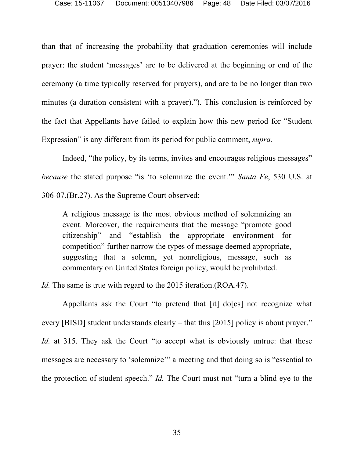than that of increasing the probability that graduation ceremonies will include prayer: the student 'messages' are to be delivered at the beginning or end of the ceremony (a time typically reserved for prayers), and are to be no longer than two minutes (a duration consistent with a prayer)."). This conclusion is reinforced by the fact that Appellants have failed to explain how this new period for "Student Expression" is any different from its period for public comment, *supra.* 

Indeed, "the policy, by its terms, invites and encourages religious messages" *because* the stated purpose "is 'to solemnize the event.'" *Santa Fe*, 530 U.S. at 306-07.(Br.27). As the Supreme Court observed:

A religious message is the most obvious method of solemnizing an event. Moreover, the requirements that the message "promote good citizenship" and "establish the appropriate environment for competition" further narrow the types of message deemed appropriate, suggesting that a solemn, yet nonreligious, message, such as commentary on United States foreign policy, would be prohibited.

*Id.* The same is true with regard to the 2015 iteration.(ROA.47).

Appellants ask the Court "to pretend that [it] do[es] not recognize what every [BISD] student understands clearly – that this [2015] policy is about prayer." *Id.* at 315. They ask the Court "to accept what is obviously untrue: that these messages are necessary to 'solemnize'" a meeting and that doing so is "essential to the protection of student speech." *Id.* The Court must not "turn a blind eye to the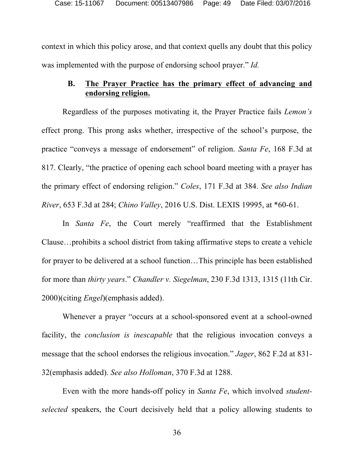context in which this policy arose, and that context quells any doubt that this policy was implemented with the purpose of endorsing school prayer." *Id.* 

## **B. The Prayer Practice has the primary effect of advancing and endorsing religion.**

Regardless of the purposes motivating it, the Prayer Practice fails *Lemon's* effect prong. This prong asks whether, irrespective of the school's purpose, the practice "conveys a message of endorsement" of religion. *Santa Fe*, 168 F.3d at 817. Clearly, "the practice of opening each school board meeting with a prayer has the primary effect of endorsing religion." *Coles*, 171 F.3d at 384. *See also Indian River*, 653 F.3d at 284; *Chino Valley*, 2016 U.S. Dist. LEXIS 19995, at \*60-61.

In *Santa Fe*, the Court merely "reaffirmed that the Establishment Clause…prohibits a school district from taking affirmative steps to create a vehicle for prayer to be delivered at a school function…This principle has been established for more than *thirty years*." *Chandler v. Siegelman*, 230 F.3d 1313, 1315 (11th Cir. 2000)(citing *Engel*)(emphasis added).

Whenever a prayer "occurs at a school-sponsored event at a school-owned facility, the *conclusion is inescapable* that the religious invocation conveys a message that the school endorses the religious invocation." *Jager*, 862 F.2d at 831- 32(emphasis added). *See also Holloman*, 370 F.3d at 1288.

Even with the more hands-off policy in *Santa Fe*, which involved *studentselected* speakers, the Court decisively held that a policy allowing students to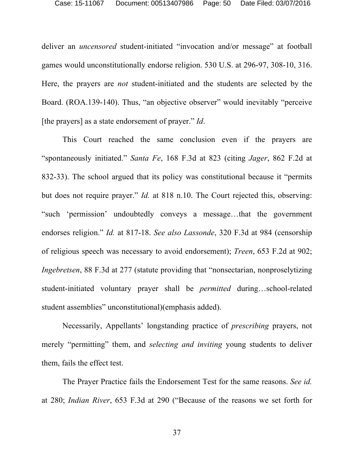deliver an *uncensored* student-initiated "invocation and/or message" at football games would unconstitutionally endorse religion. 530 U.S. at 296-97, 308-10, 316. Here, the prayers are *not* student-initiated and the students are selected by the Board. (ROA.139-140). Thus, "an objective observer" would inevitably "perceive [the prayers] as a state endorsement of prayer." *Id*.

This Court reached the same conclusion even if the prayers are "spontaneously initiated." *Santa Fe*, 168 F.3d at 823 (citing *Jager*, 862 F.2d at 832-33). The school argued that its policy was constitutional because it "permits but does not require prayer." *Id.* at 818 n.10. The Court rejected this, observing: "such 'permission' undoubtedly conveys a message…that the government endorses religion." *Id.* at 817-18. *See also Lassonde*, 320 F.3d at 984 (censorship of religious speech was necessary to avoid endorsement); *Treen*, 653 F.2d at 902; *Ingebretsen*, 88 F.3d at 277 (statute providing that "nonsectarian, nonproselytizing student-initiated voluntary prayer shall be *permitted* during…school-related student assemblies" unconstitutional)(emphasis added).

Necessarily, Appellants' longstanding practice of *prescribing* prayers, not merely "permitting" them, and *selecting and inviting* young students to deliver them, fails the effect test.

The Prayer Practice fails the Endorsement Test for the same reasons. *See id.* at 280; *Indian River*, 653 F.3d at 290 ("Because of the reasons we set forth for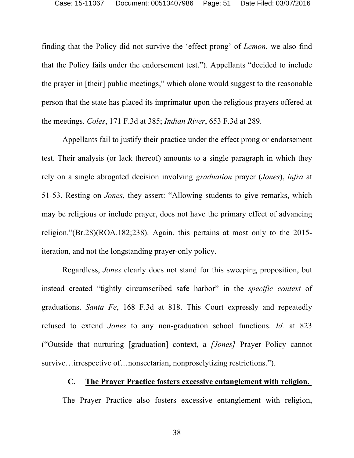finding that the Policy did not survive the 'effect prong' of *Lemon*, we also find that the Policy fails under the endorsement test."). Appellants "decided to include the prayer in [their] public meetings," which alone would suggest to the reasonable person that the state has placed its imprimatur upon the religious prayers offered at the meetings. *Coles*, 171 F.3d at 385; *Indian River*, 653 F.3d at 289.

Appellants fail to justify their practice under the effect prong or endorsement test. Their analysis (or lack thereof) amounts to a single paragraph in which they rely on a single abrogated decision involving *graduation* prayer (*Jones*), *infra* at 51-53. Resting on *Jones*, they assert: "Allowing students to give remarks, which may be religious or include prayer, does not have the primary effect of advancing religion."(Br.28)(ROA.182;238). Again, this pertains at most only to the 2015 iteration, and not the longstanding prayer-only policy.

Regardless, *Jones* clearly does not stand for this sweeping proposition, but instead created "tightly circumscribed safe harbor" in the *specific context* of graduations. *Santa Fe*, 168 F.3d at 818. This Court expressly and repeatedly refused to extend *Jones* to any non-graduation school functions. *Id.* at 823 ("Outside that nurturing [graduation] context, a *[Jones]* Prayer Policy cannot survive…irrespective of…nonsectarian, nonproselytizing restrictions.")*.* 

#### **C. The Prayer Practice fosters excessive entanglement with religion.**

The Prayer Practice also fosters excessive entanglement with religion,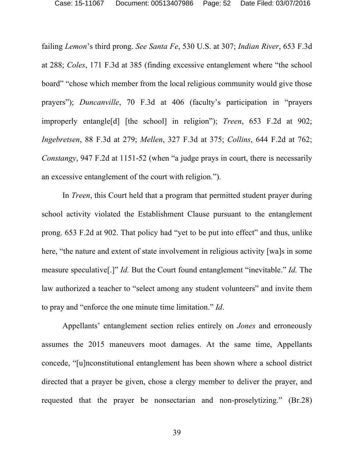failing *Lemon*'s third prong. *See Santa Fe*, 530 U.S. at 307; *Indian River*, 653 F.3d at 288; *Coles*, 171 F.3d at 385 (finding excessive entanglement where "the school board" "chose which member from the local religious community would give those prayers"); *Duncanville*, 70 F.3d at 406 (faculty's participation in "prayers improperly entangle[d] [the school] in religion"); *Treen*, 653 F.2d at 902; *Ingebretsen*, 88 F.3d at 279; *Mellen*, 327 F.3d at 375; *Collins*, 644 F.2d at 762; *Constangy*, 947 F.2d at 1151-52 (when "a judge prays in court, there is necessarily an excessive entanglement of the court with religion.").

In *Treen*, this Court held that a program that permitted student prayer during school activity violated the Establishment Clause pursuant to the entanglement prong. 653 F.2d at 902. That policy had "yet to be put into effect" and thus, unlike here, "the nature and extent of state involvement in religious activity [wa]s in some measure speculative[.]" *Id.* But the Court found entanglement "inevitable." *Id.* The law authorized a teacher to "select among any student volunteers" and invite them to pray and "enforce the one minute time limitation." *Id*.

Appellants' entanglement section relies entirely on *Jones* and erroneously assumes the 2015 maneuvers moot damages. At the same time, Appellants concede, "[u]nconstitutional entanglement has been shown where a school district directed that a prayer be given, chose a clergy member to deliver the prayer, and requested that the prayer be nonsectarian and non-proselytizing." (Br.28)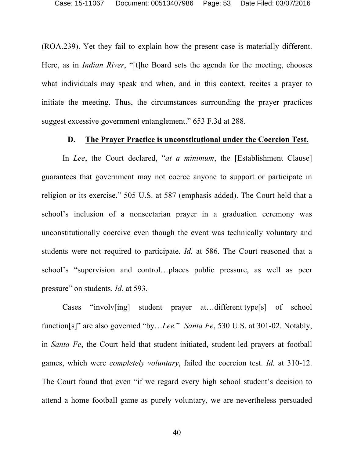(ROA.239). Yet they fail to explain how the present case is materially different. Here, as in *Indian River*, "[t]he Board sets the agenda for the meeting, chooses what individuals may speak and when, and in this context, recites a prayer to initiate the meeting. Thus, the circumstances surrounding the prayer practices suggest excessive government entanglement." 653 F.3d at 288.

#### **D. The Prayer Practice is unconstitutional under the Coercion Test.**

In *Lee*, the Court declared, "*at a minimum*, the [Establishment Clause] guarantees that government may not coerce anyone to support or participate in religion or its exercise." 505 U.S. at 587 (emphasis added). The Court held that a school's inclusion of a nonsectarian prayer in a graduation ceremony was unconstitutionally coercive even though the event was technically voluntary and students were not required to participate. *Id.* at 586. The Court reasoned that a school's "supervision and control…places public pressure, as well as peer pressure" on students. *Id.* at 593.

Cases "involv[ing] student prayer at…different type[s] of school function[s]" are also governed "by…*Lee.*" *Santa Fe*, 530 U.S. at 301-02. Notably, in *Santa Fe*, the Court held that student-initiated, student-led prayers at football games, which were *completely voluntary*, failed the coercion test. *Id.* at 310-12. The Court found that even "if we regard every high school student's decision to attend a home football game as purely voluntary, we are nevertheless persuaded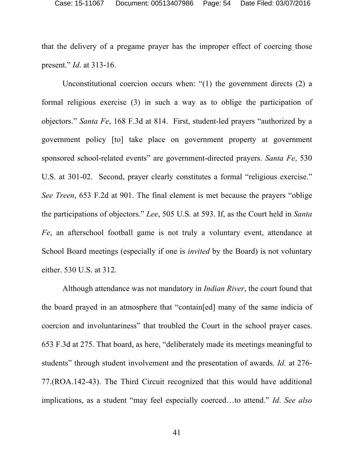that the delivery of a pregame prayer has the improper effect of coercing those present." *Id*. at 313-16.

Unconstitutional coercion occurs when: "(1) the government directs (2) a formal religious exercise (3) in such a way as to oblige the participation of objectors." *Santa Fe*, 168 F.3d at 814.First, student-led prayers "authorized by a government policy [to] take place on government property at government sponsored school-related events" are government-directed prayers. *Santa Fe*, 530 U.S. at 301-02. Second, prayer clearly constitutes a formal "religious exercise." *See Treen*, 653 F.2d at 901. The final element is met because the prayers "oblige the participations of objectors." *Lee*, 505 U.S. at 593. If, as the Court held in *Santa Fe*, an afterschool football game is not truly a voluntary event, attendance at School Board meetings (especially if one is *invited* by the Board) is not voluntary either. 530 U.S. at 312.

Although attendance was not mandatory in *Indian River*, the court found that the board prayed in an atmosphere that "contain[ed] many of the same indicia of coercion and involuntariness" that troubled the Court in the school prayer cases. 653 F.3d at 275. That board, as here, "deliberately made its meetings meaningful to students" through student involvement and the presentation of awards. *Id.* at 276- 77.(ROA.142-43). The Third Circuit recognized that this would have additional implications, as a student "may feel especially coerced…to attend." *Id*. *See also*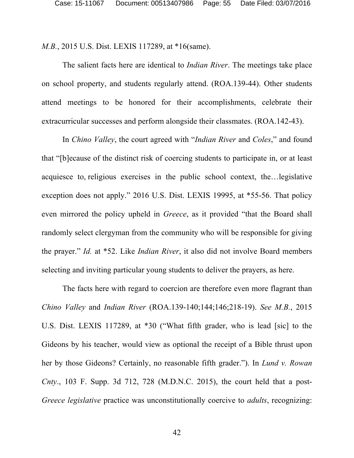*M.B.*, 2015 U.S. Dist. LEXIS 117289, at \*16(same).

The salient facts here are identical to *Indian River*. The meetings take place on school property, and students regularly attend. (ROA.139-44). Other students attend meetings to be honored for their accomplishments, celebrate their extracurricular successes and perform alongside their classmates. (ROA.142-43).

In *Chino Valley*, the court agreed with "*Indian River* and *Coles*," and found that "[b]ecause of the distinct risk of coercing students to participate in, or at least acquiesce to, religious exercises in the public school context, the…legislative exception does not apply." 2016 U.S. Dist. LEXIS 19995, at \*55-56. That policy even mirrored the policy upheld in *Greece*, as it provided "that the Board shall randomly select clergyman from the community who will be responsible for giving the prayer." *Id.* at \*52. Like *Indian River*, it also did not involve Board members selecting and inviting particular young students to deliver the prayers, as here.

The facts here with regard to coercion are therefore even more flagrant than *Chino Valley* and *Indian River* (ROA.139-140;144;146;218-19). *See M.B.*, 2015 U.S. Dist. LEXIS 117289, at \*30 ("What fifth grader, who is lead [sic] to the Gideons by his teacher, would view as optional the receipt of a Bible thrust upon her by those Gideons? Certainly, no reasonable fifth grader."). In *Lund v. Rowan Cnty*., 103 F. Supp. 3d 712, 728 (M.D.N.C. 2015), the court held that a post-*Greece legislative* practice was unconstitutionally coercive to *adults*, recognizing: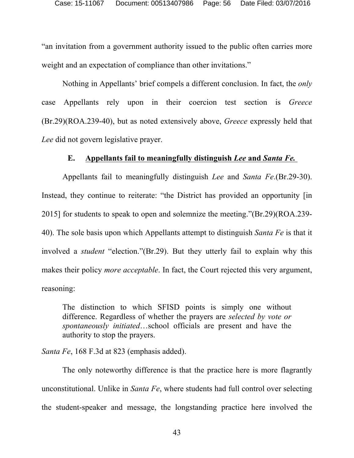"an invitation from a government authority issued to the public often carries more weight and an expectation of compliance than other invitations."

Nothing in Appellants' brief compels a different conclusion. In fact, the *only* case Appellants rely upon in their coercion test section is *Greece* (Br.29)(ROA.239-40), but as noted extensively above, *Greece* expressly held that *Lee* did not govern legislative prayer.

#### **E. Appellants fail to meaningfully distinguish** *Lee* **and** *Santa Fe.*

Appellants fail to meaningfully distinguish *Lee* and *Santa Fe*.(Br.29-30). Instead, they continue to reiterate: "the District has provided an opportunity [in 2015] for students to speak to open and solemnize the meeting."(Br.29)(ROA.239- 40). The sole basis upon which Appellants attempt to distinguish *Santa Fe* is that it involved a *student* "election."(Br.29). But they utterly fail to explain why this makes their policy *more acceptable*. In fact, the Court rejected this very argument, reasoning:

The distinction to which SFISD points is simply one without difference. Regardless of whether the prayers are *selected by vote or spontaneously initiated*…school officials are present and have the authority to stop the prayers.

*Santa Fe*, 168 F.3d at 823 (emphasis added).

The only noteworthy difference is that the practice here is more flagrantly unconstitutional. Unlike in *Santa Fe*, where students had full control over selecting the student-speaker and message, the longstanding practice here involved the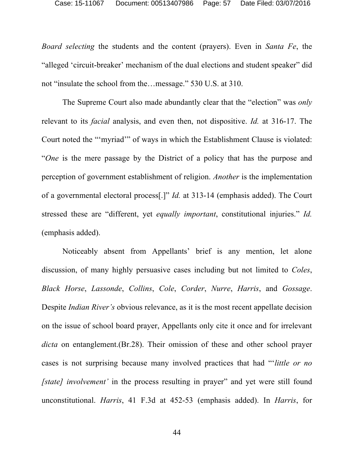*Board selecting* the students and the content (prayers). Even in *Santa Fe*, the "alleged 'circuit-breaker' mechanism of the dual elections and student speaker" did not "insulate the school from the…message." 530 U.S. at 310.

The Supreme Court also made abundantly clear that the "election" was *only*  relevant to its *facial* analysis, and even then, not dispositive. *Id.* at 316-17. The Court noted the "'myriad'" of ways in which the Establishment Clause is violated: "*One* is the mere passage by the District of a policy that has the purpose and perception of government establishment of religion. *Another* is the implementation of a governmental electoral process[.]" *Id.* at 313-14 (emphasis added). The Court stressed these are "different, yet *equally important*, constitutional injuries." *Id.* (emphasis added).

Noticeably absent from Appellants' brief is any mention, let alone discussion, of many highly persuasive cases including but not limited to *Coles*, *Black Horse*, *Lassonde*, *Collins*, *Cole*, *Corder*, *Nurre*, *Harris*, and *Gossage*. Despite *Indian River's* obvious relevance, as it is the most recent appellate decision on the issue of school board prayer, Appellants only cite it once and for irrelevant *dicta* on entanglement.(Br.28). Their omission of these and other school prayer cases is not surprising because many involved practices that had "'*little or no [state] involvement'* in the process resulting in prayer" and yet were still found unconstitutional. *Harris*, 41 F.3d at 452-53 (emphasis added). In *Harris*, for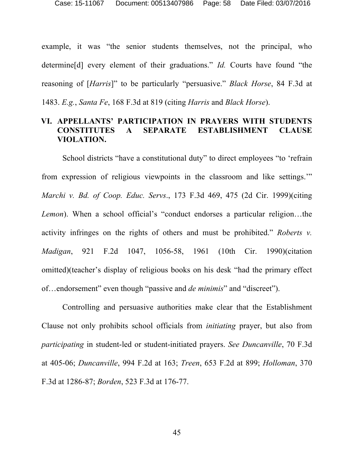example, it was "the senior students themselves, not the principal, who determine[d] every element of their graduations." *Id.* Courts have found "the reasoning of [*Harris*]" to be particularly "persuasive." *Black Horse*, 84 F.3d at 1483. *E.g.*, *Santa Fe*, 168 F.3d at 819 (citing *Harris* and *Black Horse*).

## **VI. APPELLANTS' PARTICIPATION IN PRAYERS WITH STUDENTS CONSTITUTES A SEPARATE ESTABLISHMENT CLAUSE VIOLATION.**

School districts "have a constitutional duty" to direct employees "to 'refrain from expression of religious viewpoints in the classroom and like settings.'" *Marchi v. Bd. of Coop. Educ. Servs*., 173 F.3d 469, 475 (2d Cir. 1999)(citing *Lemon*). When a school official's "conduct endorses a particular religion…the activity infringes on the rights of others and must be prohibited." *Roberts v. Madigan*, 921 F.2d 1047, 1056-58, 1961 (10th Cir. 1990)(citation omitted)(teacher's display of religious books on his desk "had the primary effect of…endorsement" even though "passive and *de minimis*" and "discreet").

Controlling and persuasive authorities make clear that the Establishment Clause not only prohibits school officials from *initiating* prayer, but also from *participating* in student-led or student-initiated prayers. *See Duncanville*, 70 F.3d at 405-06; *Duncanville*, 994 F.2d at 163; *Treen*, 653 F.2d at 899; *Holloman*, 370 F.3d at 1286-87; *Borden*, 523 F.3d at 176-77.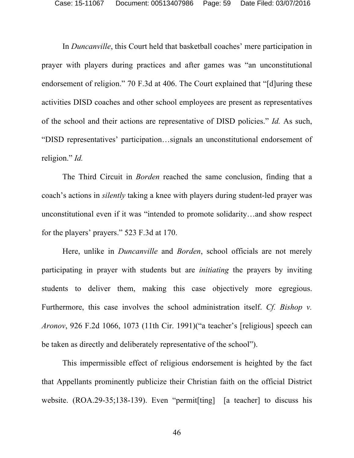In *Duncanville*, this Court held that basketball coaches' mere participation in prayer with players during practices and after games was "an unconstitutional endorsement of religion." 70 F.3d at 406. The Court explained that "[d]uring these activities DISD coaches and other school employees are present as representatives of the school and their actions are representative of DISD policies." *Id.* As such, "DISD representatives' participation…signals an unconstitutional endorsement of religion." *Id.*

The Third Circuit in *Borden* reached the same conclusion, finding that a coach's actions in *silently* taking a knee with players during student-led prayer was unconstitutional even if it was "intended to promote solidarity…and show respect for the players' prayers." 523 F.3d at 170.

Here, unlike in *Duncanville* and *Borden*, school officials are not merely participating in prayer with students but are *initiating* the prayers by inviting students to deliver them, making this case objectively more egregious. Furthermore, this case involves the school administration itself. *Cf. Bishop v. Aronov*, 926 F.2d 1066, 1073 (11th Cir. 1991)("a teacher's [religious] speech can be taken as directly and deliberately representative of the school").

This impermissible effect of religious endorsement is heighted by the fact that Appellants prominently publicize their Christian faith on the official District website. (ROA.29-35;138-139). Even "permit [ting] [a teacher] to discuss his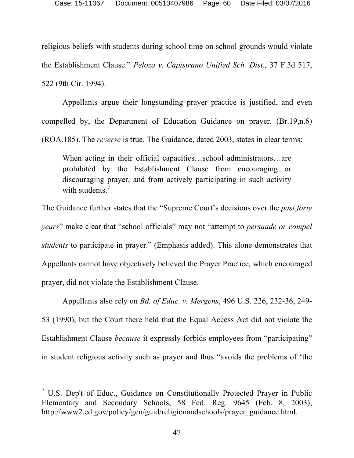religious beliefs with students during school time on school grounds would violate the Establishment Clause." *Peloza v. Capistrano Unified Sch. Dist.*, 37 F.3d 517, 522 (9th Cir. 1994).

Appellants argue their longstanding prayer practice is justified, and even compelled by, the Department of Education Guidance on prayer. (Br.19,n.6) (ROA.185). The *reverse* is true. The Guidance, dated 2003, states in clear terms:

When acting in their official capacities…school administrators…are prohibited by the Establishment Clause from encouraging or discouraging prayer, and from actively participating in such activity with students.<sup>7</sup>

The Guidance further states that the "Supreme Court's decisions over the *past forty years*" make clear that "school officials" may not "attempt to *persuade or compel students* to participate in prayer." (Emphasis added). This alone demonstrates that Appellants cannot have objectively believed the Prayer Practice, which encouraged prayer, did not violate the Establishment Clause.

Appellants also rely on *Bd. of Educ. v. Mergens*, 496 U.S. 226, 232-36, 249- 53 (1990), but the Court there held that the Equal Access Act did not violate the Establishment Clause *because* it expressly forbids employees from "participating" in student religious activity such as prayer and thus "avoids the problems of 'the

 $<sup>7</sup>$  U.S. Dep't of Educ., Guidance on Constitutionally Protected Prayer in Public</sup> Elementary and Secondary Schools, 58 Fed. Reg. 9645 (Feb. 8, 2003), http://www2.ed.gov/policy/gen/guid/religionandschools/prayer\_guidance.html.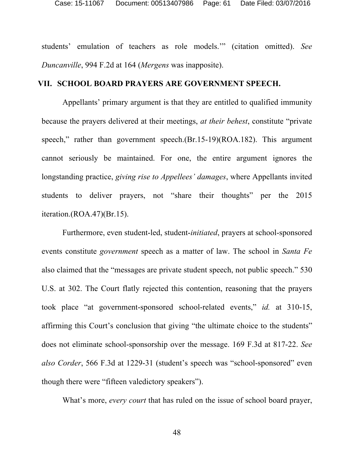students' emulation of teachers as role models.'" (citation omitted). *See Duncanville*, 994 F.2d at 164 (*Mergens* was inapposite).

#### **VII. SCHOOL BOARD PRAYERS ARE GOVERNMENT SPEECH.**

Appellants' primary argument is that they are entitled to qualified immunity because the prayers delivered at their meetings, *at their behest*, constitute "private speech," rather than government speech.(Br.15-19)(ROA.182). This argument cannot seriously be maintained. For one, the entire argument ignores the longstanding practice, *giving rise to Appellees' damages*, where Appellants invited students to deliver prayers, not "share their thoughts" per the 2015 iteration.(ROA.47)(Br.15).

Furthermore, even student-led, student-*initiated*, prayers at school-sponsored events constitute *government* speech as a matter of law. The school in *Santa Fe* also claimed that the "messages are private student speech, not public speech." 530 U.S. at 302. The Court flatly rejected this contention, reasoning that the prayers took place "at government-sponsored school-related events," *id.* at 310-15, affirming this Court's conclusion that giving "the ultimate choice to the students" does not eliminate school-sponsorship over the message. 169 F.3d at 817-22. *See also Corder*, 566 F.3d at 1229-31 (student's speech was "school-sponsored" even though there were "fifteen valedictory speakers").

What's more, *every court* that has ruled on the issue of school board prayer,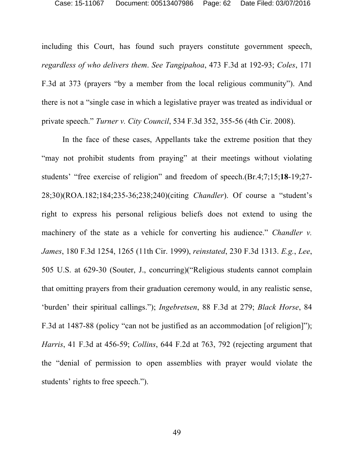including this Court, has found such prayers constitute government speech, *regardless of who delivers them*. *See Tangipahoa*, 473 F.3d at 192-93; *Coles*, 171 F.3d at 373 (prayers "by a member from the local religious community"). And there is not a "single case in which a legislative prayer was treated as individual or private speech." *Turner v. City Council*, 534 F.3d 352, 355-56 (4th Cir. 2008).

In the face of these cases, Appellants take the extreme position that they "may not prohibit students from praying" at their meetings without violating students' "free exercise of religion" and freedom of speech.(Br.4;7;15;**18**-19;27- 28;30)(ROA.182;184;235-36;238;240)(citing *Chandler*). Of course a "student's right to express his personal religious beliefs does not extend to using the machinery of the state as a vehicle for converting his audience." *Chandler v. James*, 180 F.3d 1254, 1265 (11th Cir. 1999), *reinstated*, 230 F.3d 1313. *E.g.*, *Lee*, 505 U.S. at 629-30 (Souter, J., concurring)("Religious students cannot complain that omitting prayers from their graduation ceremony would, in any realistic sense, 'burden' their spiritual callings."); *Ingebretsen*, 88 F.3d at 279; *Black Horse*, 84 F.3d at 1487-88 (policy "can not be justified as an accommodation [of religion]"); *Harris*, 41 F.3d at 456-59; *Collins*, 644 F.2d at 763, 792 (rejecting argument that the "denial of permission to open assemblies with prayer would violate the students' rights to free speech.").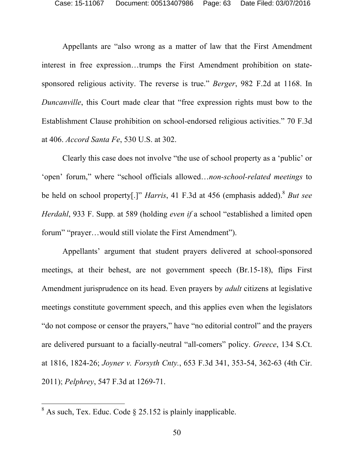Appellants are "also wrong as a matter of law that the First Amendment interest in free expression…trumps the First Amendment prohibition on statesponsored religious activity. The reverse is true." *Berger*, 982 F.2d at 1168. In *Duncanville*, this Court made clear that "free expression rights must bow to the Establishment Clause prohibition on school-endorsed religious activities." 70 F.3d at 406. *Accord Santa Fe*, 530 U.S. at 302.

Clearly this case does not involve "the use of school property as a 'public' or 'open' forum," where "school officials allowed…*non-school-related meetings* to be held on school property[.]" *Harris*, 41 F.3d at 456 (emphasis added). <sup>8</sup> *But see Herdahl*, 933 F. Supp. at 589 (holding *even if* a school "established a limited open forum" "prayer…would still violate the First Amendment").

Appellants' argument that student prayers delivered at school-sponsored meetings, at their behest, are not government speech (Br.15-18), flips First Amendment jurisprudence on its head. Even prayers by *adult* citizens at legislative meetings constitute government speech, and this applies even when the legislators "do not compose or censor the prayers," have "no editorial control" and the prayers are delivered pursuant to a facially-neutral "all-comers" policy. *Greece*, 134 S.Ct. at 1816, 1824-26; *Joyner v. Forsyth Cnty.*, 653 F.3d 341, 353-54, 362-63 (4th Cir. 2011); *Pelphrey*, 547 F.3d at 1269-71.

 $8$  As such, Tex. Educ. Code  $\S$  25.152 is plainly inapplicable.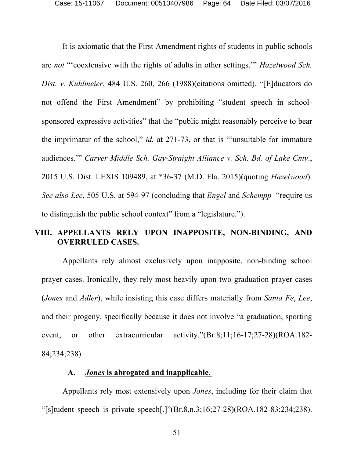It is axiomatic that the First Amendment rights of students in public schools are *not* "'coextensive with the rights of adults in other settings.'" *Hazelwood Sch. Dist. v. Kuhlmeier*, 484 U.S. 260, 266 (1988)(citations omitted). "[E]ducators do not offend the First Amendment" by prohibiting "student speech in schoolsponsored expressive activities" that the "public might reasonably perceive to bear the imprimatur of the school," *id.* at 271-73, or that is "'unsuitable for immature audiences.'" *Carver Middle Sch. Gay-Straight Alliance v. Sch. Bd. of Lake Cnty*., 2015 U.S. Dist. LEXIS 109489, at \*36-37 (M.D. Fla. 2015)(quoting *Hazelwood*). *See also Lee*, 505 U.S. at 594-97 (concluding that *Engel* and *Schempp* "require us to distinguish the public school context" from a "legislature.").

## **VIII. APPELLANTS RELY UPON INAPPOSITE, NON-BINDING, AND OVERRULED CASES.**

Appellants rely almost exclusively upon inapposite, non-binding school prayer cases. Ironically, they rely most heavily upon two graduation prayer cases (*Jones* and *Adler*), while insisting this case differs materially from *Santa Fe*, *Lee*, and their progeny, specifically because it does not involve "a graduation, sporting event, or other extracurricular activity."(Br.8;11;16-17;27-28)(ROA.182- 84;234;238).

#### **A.** *Jones* **is abrogated and inapplicable.**

Appellants rely most extensively upon *Jones*, including for their claim that "[s]tudent speech is private speech[.]" $(Br.8,n.3;16;27-28)(ROA.182-83;234;238)$ .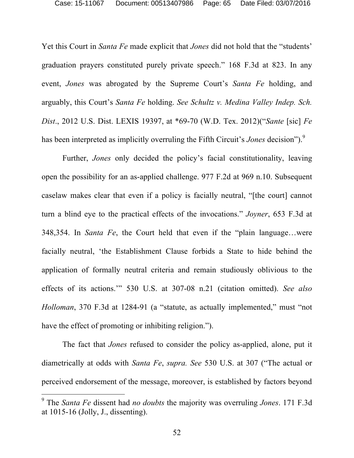Yet this Court in *Santa Fe* made explicit that *Jones* did not hold that the "students' graduation prayers constituted purely private speech." 168 F.3d at 823. In any event, *Jones* was abrogated by the Supreme Court's *Santa Fe* holding, and arguably, this Court's *Santa Fe* holding. *See Schultz v. Medina Valley Indep. Sch. Dist*., 2012 U.S. Dist. LEXIS 19397, at \*69-70 (W.D. Tex. 2012)("*Sante* [sic] *Fe* has been interpreted as implicitly overruling the Fifth Circuit's *Jones* decision").<sup>9</sup>

Further, *Jones* only decided the policy's facial constitutionality, leaving open the possibility for an as-applied challenge. 977 F.2d at 969 n.10. Subsequent caselaw makes clear that even if a policy is facially neutral, "[the court] cannot turn a blind eye to the practical effects of the invocations." *Joyner*, 653 F.3d at 348,354. In *Santa Fe*, the Court held that even if the "plain language…were facially neutral, 'the Establishment Clause forbids a State to hide behind the application of formally neutral criteria and remain studiously oblivious to the effects of its actions.'" 530 U.S. at 307-08 n.21 (citation omitted). *See also Holloman*, 370 F.3d at 1284-91 (a "statute, as actually implemented," must "not have the effect of promoting or inhibiting religion.").

The fact that *Jones* refused to consider the policy as-applied, alone, put it diametrically at odds with *Santa Fe*, *supra. See* 530 U.S. at 307 ("The actual or perceived endorsement of the message, moreover, is established by factors beyond

 <sup>9</sup> The *Santa Fe* dissent had *no doubts* the majority was overruling *Jones*. 171 F.3d at 1015-16 (Jolly, J., dissenting).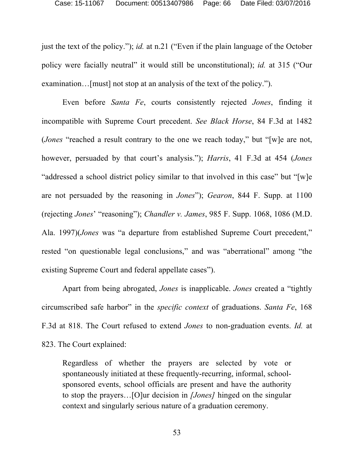just the text of the policy."); *id.* at n.21 ("Even if the plain language of the October policy were facially neutral" it would still be unconstitutional); *id.* at 315 ("Our examination…[must] not stop at an analysis of the text of the policy.").

Even before *Santa Fe*, courts consistently rejected *Jones*, finding it incompatible with Supreme Court precedent. *See Black Horse*, 84 F.3d at 1482 (*Jones* "reached a result contrary to the one we reach today," but "[w]e are not, however, persuaded by that court's analysis."); *Harris*, 41 F.3d at 454 (*Jones* "addressed a school district policy similar to that involved in this case" but "[w]e are not persuaded by the reasoning in *Jones*"); *Gearon*, 844 F. Supp. at 1100 (rejecting *Jones*' "reasoning"); *Chandler v. James*, 985 F. Supp. 1068, 1086 (M.D. Ala. 1997)(*Jones* was "a departure from established Supreme Court precedent," rested "on questionable legal conclusions," and was "aberrational" among "the existing Supreme Court and federal appellate cases").

Apart from being abrogated, *Jones* is inapplicable. *Jones* created a "tightly circumscribed safe harbor" in the *specific context* of graduations. *Santa Fe*, 168 F.3d at 818. The Court refused to extend *Jones* to non-graduation events. *Id.* at 823. The Court explained:

Regardless of whether the prayers are selected by vote or spontaneously initiated at these frequently-recurring, informal, schoolsponsored events, school officials are present and have the authority to stop the prayers…[O]ur decision in *[Jones]* hinged on the singular context and singularly serious nature of a graduation ceremony.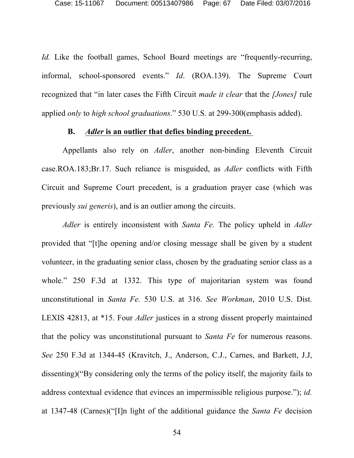*Id.* Like the football games, School Board meetings are "frequently-recurring, informal, school-sponsored events." *Id*. (ROA.139). The Supreme Court recognized that "in later cases the Fifth Circuit *made it clear* that the *[Jones]* rule applied *only* to *high school graduations*." 530 U.S. at 299-300(emphasis added).

#### **B.** *Adler* **is an outlier that defies binding precedent.**

Appellants also rely on *Adler*, another non-binding Eleventh Circuit case.ROA.183;Br.17. Such reliance is misguided, as *Adler* conflicts with Fifth Circuit and Supreme Court precedent, is a graduation prayer case (which was previously *sui generis*), and is an outlier among the circuits.

*Adler* is entirely inconsistent with *Santa Fe.* The policy upheld in *Adler* provided that "[t]he opening and/or closing message shall be given by a student volunteer, in the graduating senior class, chosen by the graduating senior class as a whole." 250 F.3d at 1332. This type of majoritarian system was found unconstitutional in *Santa Fe.* 530 U.S. at 316. *See Workman*, 2010 U.S. Dist. LEXIS 42813, at \*15. Four *Adler* justices in a strong dissent properly maintained that the policy was unconstitutional pursuant to *Santa Fe* for numerous reasons. *See* 250 F.3d at 1344-45 (Kravitch, J., Anderson, C.J., Carnes, and Barkett, J.J, dissenting)("By considering only the terms of the policy itself, the majority fails to address contextual evidence that evinces an impermissible religious purpose."); *id.*  at 1347-48 (Carnes)("[I]n light of the additional guidance the *Santa Fe* decision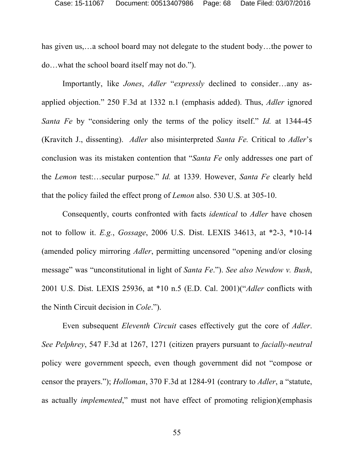has given us,...a school board may not delegate to the student body...the power to do…what the school board itself may not do.").

Importantly, like *Jones*, *Adler* "*expressly* declined to consider…any asapplied objection." 250 F.3d at 1332 n.1 (emphasis added). Thus, *Adler* ignored *Santa Fe* by "considering only the terms of the policy itself." *Id.* at 1344-45 (Kravitch J., dissenting). *Adler* also misinterpreted *Santa Fe.* Critical to *Adler*'s conclusion was its mistaken contention that "*Santa Fe* only addresses one part of the *Lemon* test:…secular purpose." *Id.* at 1339. However, *Santa Fe* clearly held that the policy failed the effect prong of *Lemon* also. 530 U.S. at 305-10.

Consequently, courts confronted with facts *identical* to *Adler* have chosen not to follow it. *E.g.*, *Gossage*, 2006 U.S. Dist. LEXIS 34613, at \*2-3, \*10-14 (amended policy mirroring *Adler*, permitting uncensored "opening and/or closing message" was "unconstitutional in light of *Santa Fe*."). *See also Newdow v. Bush*, 2001 U.S. Dist. LEXIS 25936, at \*10 n.5 (E.D. Cal. 2001)("*Adler* conflicts with the Ninth Circuit decision in *Cole*.").

Even subsequent *Eleventh Circuit* cases effectively gut the core of *Adler*. *See Pelphrey*, 547 F.3d at 1267, 1271 (citizen prayers pursuant to *facially-neutral*  policy were government speech, even though government did not "compose or censor the prayers."); *Holloman*, 370 F.3d at 1284-91 (contrary to *Adler*, a "statute, as actually *implemented*," must not have effect of promoting religion)(emphasis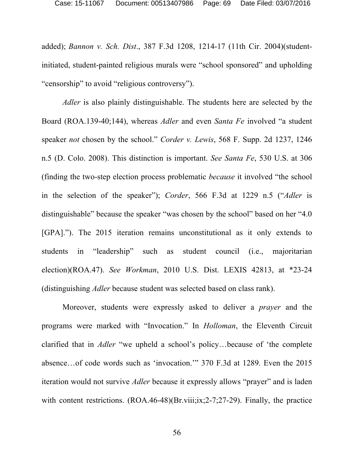added); *Bannon v. Sch. Dist*., 387 F.3d 1208, 1214-17 (11th Cir. 2004)(studentinitiated, student-painted religious murals were "school sponsored" and upholding "censorship" to avoid "religious controversy").

*Adler* is also plainly distinguishable. The students here are selected by the Board (ROA.139-40;144), whereas *Adler* and even *Santa Fe* involved "a student speaker *not* chosen by the school." *Corder v. Lewis*, 568 F. Supp. 2d 1237, 1246 n.5 (D. Colo. 2008). This distinction is important. *See Santa Fe*, 530 U.S. at 306 (finding the two-step election process problematic *because* it involved "the school in the selection of the speaker"); *Corder*, 566 F.3d at 1229 n.5 ("*Adler* is distinguishable" because the speaker "was chosen by the school" based on her "4.0 [GPA]."). The 2015 iteration remains unconstitutional as it only extends to students in "leadership" such as student council (i.e., majoritarian election)(ROA.47). *See Workman*, 2010 U.S. Dist. LEXIS 42813, at \*23-24 (distinguishing *Adler* because student was selected based on class rank).

Moreover, students were expressly asked to deliver a *prayer* and the programs were marked with "Invocation." In *Holloman*, the Eleventh Circuit clarified that in *Adler* "we upheld a school's policy…because of 'the complete absence…of code words such as 'invocation.'" 370 F.3d at 1289. Even the 2015 iteration would not survive *Adler* because it expressly allows "prayer" and is laden with content restrictions. (ROA.46-48)(Br.viii;ix;2-7;27-29). Finally, the practice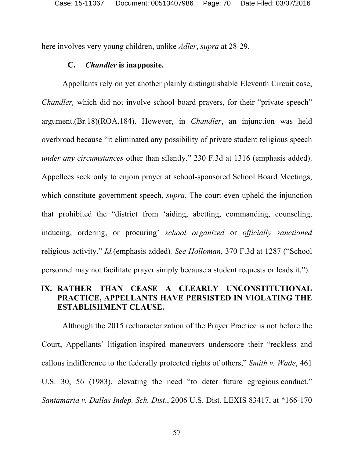here involves very young children, unlike *Adler*, *supra* at 28-29.

## **C.** *Chandler* **is inapposite.**

Appellants rely on yet another plainly distinguishable Eleventh Circuit case, *Chandler*, which did not involve school board prayers, for their "private speech" argument.(Br.18)(ROA.184). However, in *Chandler*, an injunction was held overbroad because "it eliminated any possibility of private student religious speech *under any circumstances* other than silently." 230 F.3d at 1316 (emphasis added). Appellees seek only to enjoin prayer at school-sponsored School Board Meetings, which constitute government speech, *supra.* The court even upheld the injunction that prohibited the "district from 'aiding, abetting, commanding, counseling, inducing, ordering, or procuring' *school organized* or *officially sanctioned*  religious activity." *Id.*(emphasis added)*. See Holloman*, 370 F.3d at 1287 ("School personnel may not facilitate prayer simply because a student requests or leads it.").

# **IX. RATHER THAN CEASE A CLEARLY UNCONSTITUTIONAL PRACTICE, APPELLANTS HAVE PERSISTED IN VIOLATING THE ESTABLISHMENT CLAUSE.**

Although the 2015 recharacterization of the Prayer Practice is not before the Court, Appellants' litigation-inspired maneuvers underscore their "reckless and callous indifference to the federally protected rights of others," *Smith v. Wade*, 461 U.S. 30, 56 (1983), elevating the need "to deter future egregious conduct." *Santamaria v. Dallas Indep. Sch. Dist*., 2006 U.S. Dist. LEXIS 83417, at \*166-170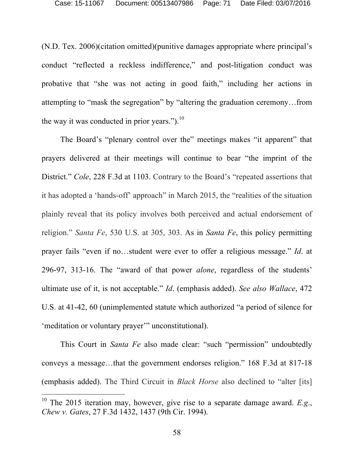(N.D. Tex. 2006)(citation omitted)(punitive damages appropriate where principal's conduct "reflected a reckless indifference," and post-litigation conduct was probative that "she was not acting in good faith," including her actions in attempting to "mask the segregation" by "altering the graduation ceremony…from the way it was conducted in prior years.").<sup>10</sup>

The Board's "plenary control over the" meetings makes "it apparent" that prayers delivered at their meetings will continue to bear "the imprint of the District." *Cole*, 228 F.3d at 1103. Contrary to the Board's "repeated assertions that it has adopted a 'hands-off' approach" in March 2015, the "realities of the situation plainly reveal that its policy involves both perceived and actual endorsement of religion." *Santa Fe*, 530 U.S. at 305, 303. As in *Santa Fe*, this policy permitting prayer fails "even if no…student were ever to offer a religious message." *Id*. at 296-97, 313-16. The "award of that power *alone*, regardless of the students' ultimate use of it, is not acceptable." *Id*. (emphasis added). *See also Wallace*, 472 U.S. at 41-42, 60 (unimplemented statute which authorized "a period of silence for 'meditation or voluntary prayer'" unconstitutional).

This Court in *Santa Fe* also made clear: "such "permission" undoubtedly conveys a message…that the government endorses religion." 168 F.3d at 817-18 (emphasis added). The Third Circuit in *Black Horse* also declined to "alter [its]

 <sup>10</sup> The 2015 iteration may, however, give rise to a separate damage award. *E.g*., *Chew v. Gates*, 27 F.3d 1432, 1437 (9th Cir. 1994).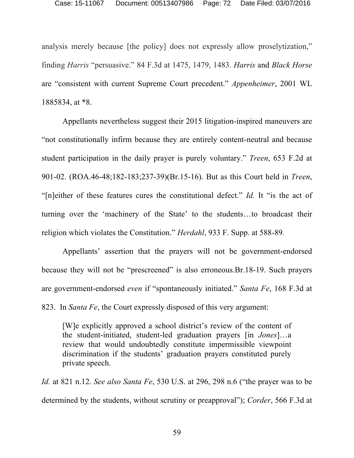analysis merely because [the policy] does not expressly allow proselytization," finding *Harris* "persuasive." 84 F.3d at 1475, 1479, 1483. *Harris* and *Black Horse* are "consistent with current Supreme Court precedent." *Appenheimer*, 2001 WL 1885834, at \*8.

Appellants nevertheless suggest their 2015 litigation-inspired maneuvers are "not constitutionally infirm because they are entirely content-neutral and because student participation in the daily prayer is purely voluntary." *Treen*, 653 F.2d at 901-02. (ROA.46-48;182-183;237-39)(Br.15-16). But as this Court held in *Treen*, "[n]either of these features cures the constitutional defect." *Id.* It "is the act of turning over the 'machinery of the State' to the students…to broadcast their religion which violates the Constitution." *Herdahl*, 933 F. Supp. at 588-89*.* 

Appellants' assertion that the prayers will not be government-endorsed because they will not be "prescreened" is also erroneous.Br.18-19. Such prayers are government-endorsed *even* if "spontaneously initiated." *Santa Fe*, 168 F.3d at

823. In *Santa Fe*, the Court expressly disposed of this very argument:

[W]e explicitly approved a school district's review of the content of the student-initiated, student-led graduation prayers [in *Jones*]…a review that would undoubtedly constitute impermissible viewpoint discrimination if the students' graduation prayers constituted purely private speech.

*Id.* at 821 n.12. *See also Santa Fe*, 530 U.S. at 296, 298 n.6 ("the prayer was to be determined by the students, without scrutiny or preapproval"); *Corder*, 566 F.3d at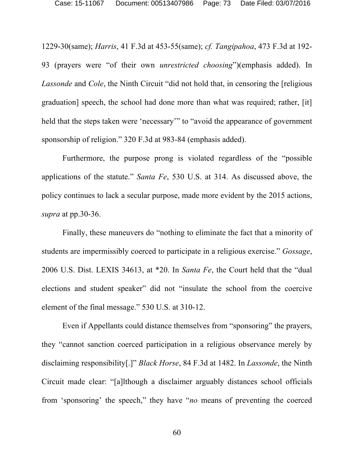1229-30(same); *Harris*, 41 F.3d at 453-55(same); *cf. Tangipahoa*, 473 F.3d at 192- 93 (prayers were "of their own *unrestricted choosing*")(emphasis added). In *Lassonde* and *Cole*, the Ninth Circuit "did not hold that, in censoring the [religious graduation] speech, the school had done more than what was required; rather, [it] held that the steps taken were 'necessary'" to "avoid the appearance of government sponsorship of religion." 320 F.3d at 983-84 (emphasis added).

Furthermore, the purpose prong is violated regardless of the "possible applications of the statute." *Santa Fe*, 530 U.S. at 314. As discussed above, the policy continues to lack a secular purpose, made more evident by the 2015 actions, *supra* at pp.30-36.

Finally, these maneuvers do "nothing to eliminate the fact that a minority of students are impermissibly coerced to participate in a religious exercise." *Gossage*, 2006 U.S. Dist. LEXIS 34613, at \*20. In *Santa Fe*, the Court held that the "dual elections and student speaker" did not "insulate the school from the coercive element of the final message." 530 U.S. at 310-12.

Even if Appellants could distance themselves from "sponsoring" the prayers, they "cannot sanction coerced participation in a religious observance merely by disclaiming responsibility[.]" *Black Horse*, 84 F.3d at 1482. In *Lassonde*, the Ninth Circuit made clear: "[a]lthough a disclaimer arguably distances school officials from 'sponsoring' the speech," they have "*no* means of preventing the coerced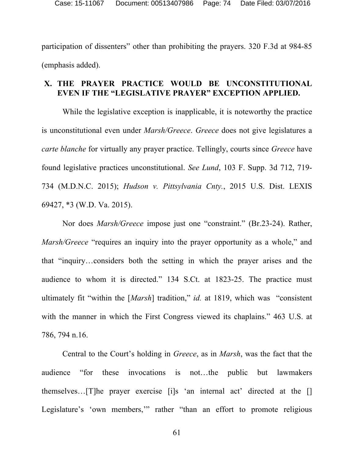participation of dissenters" other than prohibiting the prayers. 320 F.3d at 984-85 (emphasis added).

### **X. THE PRAYER PRACTICE WOULD BE UNCONSTITUTIONAL EVEN IF THE "LEGISLATIVE PRAYER" EXCEPTION APPLIED.**

While the legislative exception is inapplicable, it is noteworthy the practice is unconstitutional even under *Marsh/Greece*. *Greece* does not give legislatures a *carte blanche* for virtually any prayer practice. Tellingly, courts since *Greece* have found legislative practices unconstitutional. *See Lund*, 103 F. Supp. 3d 712, 719- 734 (M.D.N.C. 2015); *Hudson v. Pittsylvania Cnty.*, 2015 U.S. Dist. LEXIS 69427, \*3 (W.D. Va. 2015).

Nor does *Marsh/Greece* impose just one "constraint." (Br.23-24). Rather, *Marsh/Greece* "requires an inquiry into the prayer opportunity as a whole," and that "inquiry…considers both the setting in which the prayer arises and the audience to whom it is directed." 134 S.Ct. at 1823-25. The practice must ultimately fit "within the [*Marsh*] tradition," *id.* at 1819, which was "consistent with the manner in which the First Congress viewed its chaplains." 463 U.S. at 786, 794 n.16.

Central to the Court's holding in *Greece*, as in *Marsh*, was the fact that the audience "for these invocations is not…the public but lawmakers themselves…[T]he prayer exercise [i]s 'an internal act' directed at the [] Legislature's 'own members,'" rather "than an effort to promote religious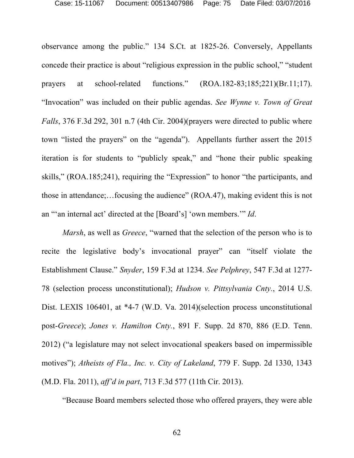observance among the public." 134 S.Ct. at 1825-26. Conversely, Appellants concede their practice is about "religious expression in the public school," "student prayers at school-related functions." (ROA.182-83;185;221)(Br.11;17). "Invocation" was included on their public agendas. *See Wynne v. Town of Great Falls*, 376 F.3d 292, 301 n.7 (4th Cir. 2004)(prayers were directed to public where town "listed the prayers" on the "agenda"). Appellants further assert the 2015 iteration is for students to "publicly speak," and "hone their public speaking skills," (ROA.185;241), requiring the "Expression" to honor "the participants, and those in attendance;…focusing the audience" (ROA.47), making evident this is not an "'an internal act' directed at the [Board's] 'own members.'" *Id*.

*Marsh*, as well as *Greece*, "warned that the selection of the person who is to recite the legislative body's invocational prayer" can "itself violate the Establishment Clause." *Snyder*, 159 F.3d at 1234. *See Pelphrey*, 547 F.3d at 1277- 78 (selection process unconstitutional); *Hudson v. Pittsylvania Cnty.*, 2014 U.S. Dist. LEXIS 106401, at \*4-7 (W.D. Va. 2014)(selection process unconstitutional post-*Greece*); *Jones v. Hamilton Cnty.*, 891 F. Supp. 2d 870, 886 (E.D. Tenn. 2012) ("a legislature may not select invocational speakers based on impermissible motives"); *Atheists of Fla., Inc. v. City of Lakeland*, 779 F. Supp. 2d 1330, 1343 (M.D. Fla. 2011), *aff'd in part*, 713 F.3d 577 (11th Cir. 2013).

"Because Board members selected those who offered prayers, they were able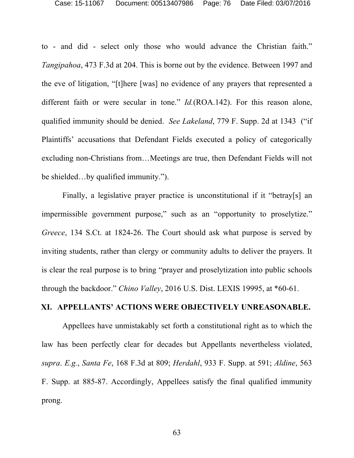to - and did - select only those who would advance the Christian faith." *Tangipahoa*, 473 F.3d at 204. This is borne out by the evidence. Between 1997 and the eve of litigation, "[t]here [was] no evidence of any prayers that represented a different faith or were secular in tone." *Id.*(ROA.142). For this reason alone, qualified immunity should be denied. *See Lakeland*, 779 F. Supp. 2d at 1343 ("if Plaintiffs' accusations that Defendant Fields executed a policy of categorically excluding non-Christians from…Meetings are true, then Defendant Fields will not be shielded…by qualified immunity.").

Finally, a legislative prayer practice is unconstitutional if it "betray[s] an impermissible government purpose," such as an "opportunity to proselytize." *Greece*, 134 S.Ct. at 1824-26. The Court should ask what purpose is served by inviting students, rather than clergy or community adults to deliver the prayers. It is clear the real purpose is to bring "prayer and proselytization into public schools through the backdoor." *Chino Valley*, 2016 U.S. Dist. LEXIS 19995, at \*60-61.

#### **XI. APPELLANTS' ACTIONS WERE OBJECTIVELY UNREASONABLE.**

Appellees have unmistakably set forth a constitutional right as to which the law has been perfectly clear for decades but Appellants nevertheless violated, *supra*. *E.g.*, *Santa Fe*, 168 F.3d at 809; *Herdahl*, 933 F. Supp. at 591; *Aldine*, 563 F. Supp. at 885-87. Accordingly, Appellees satisfy the final qualified immunity prong.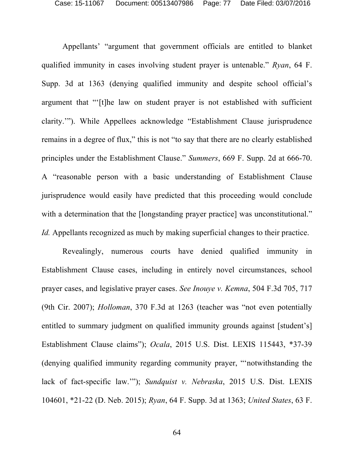Appellants' "argument that government officials are entitled to blanket qualified immunity in cases involving student prayer is untenable." *Ryan*, 64 F. Supp. 3d at 1363 (denying qualified immunity and despite school official's argument that "'[t]he law on student prayer is not established with sufficient clarity.'"). While Appellees acknowledge "Establishment Clause jurisprudence remains in a degree of flux," this is not "to say that there are no clearly established principles under the Establishment Clause." *Summers*, 669 F. Supp. 2d at 666-70. A "reasonable person with a basic understanding of Establishment Clause jurisprudence would easily have predicted that this proceeding would conclude with a determination that the [longstanding prayer practice] was unconstitutional." *Id.* Appellants recognized as much by making superficial changes to their practice.

Revealingly, numerous courts have denied qualified immunity in Establishment Clause cases, including in entirely novel circumstances, school prayer cases, and legislative prayer cases. *See Inouye v. Kemna*, 504 F.3d 705, 717 (9th Cir. 2007); *Holloman*, 370 F.3d at 1263 (teacher was "not even potentially entitled to summary judgment on qualified immunity grounds against [student's] Establishment Clause claims"); *Ocala*, 2015 U.S. Dist. LEXIS 115443, \*37-39 (denying qualified immunity regarding community prayer, "'notwithstanding the lack of fact-specific law.'"); *Sundquist v. Nebraska*, 2015 U.S. Dist. LEXIS 104601, \*21-22 (D. Neb. 2015); *Ryan*, 64 F. Supp. 3d at 1363; *United States*, 63 F.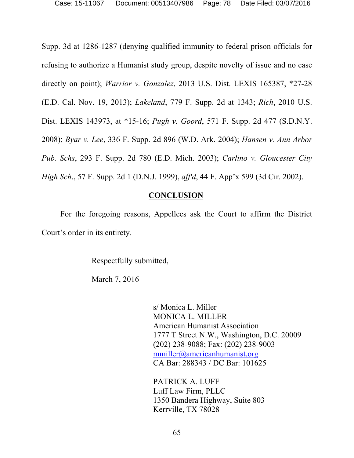Supp. 3d at 1286-1287 (denying qualified immunity to federal prison officials for refusing to authorize a Humanist study group, despite novelty of issue and no case directly on point); *Warrior v. Gonzalez*, 2013 U.S. Dist. LEXIS 165387, \*27-28 (E.D. Cal. Nov. 19, 2013); *Lakeland*, 779 F. Supp. 2d at 1343; *Rich*, 2010 U.S. Dist. LEXIS 143973, at \*15-16; *Pugh v. Goord*, 571 F. Supp. 2d 477 (S.D.N.Y. 2008); *Byar v. Lee*, 336 F. Supp. 2d 896 (W.D. Ark. 2004); *Hansen v. Ann Arbor Pub. Schs*, 293 F. Supp. 2d 780 (E.D. Mich. 2003); *Carlino v. Gloucester City High Sch*., 57 F. Supp. 2d 1 (D.N.J. 1999), *aff'd*, 44 F. App'x 599 (3d Cir. 2002).

### **CONCLUSION**

For the foregoing reasons, Appellees ask the Court to affirm the District Court's order in its entirety.

Respectfully submitted,

March 7, 2016

s/ Monica L. Miller MONICA L. MILLER American Humanist Association 1777 T Street N.W., Washington, D.C. 20009 (202) 238-9088; Fax: (202) 238-9003 mmiller@americanhumanist.org CA Bar: 288343 / DC Bar: 101625

PATRICK A. LUFF Luff Law Firm, PLLC 1350 Bandera Highway, Suite 803 Kerrville, TX 78028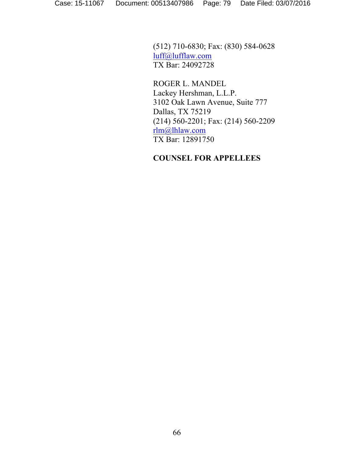(512) 710-6830; Fax: (830) 584-0628 luff@lufflaw.com TX Bar: 24092728

ROGER L. MANDEL Lackey Hershman, L.L.P. 3102 Oak Lawn Avenue, Suite 777 Dallas, TX 75219 (214) 560-2201; Fax: (214) 560-2209 rlm@lhlaw.com TX Bar: 12891750

## **COUNSEL FOR APPELLEES**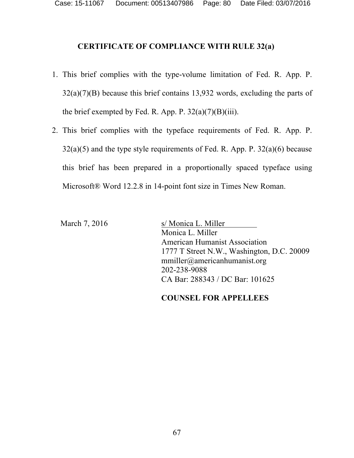## **CERTIFICATE OF COMPLIANCE WITH RULE 32(a)**

- 1. This brief complies with the type-volume limitation of Fed. R. App. P.  $32(a)(7)(B)$  because this brief contains 13,932 words, excluding the parts of the brief exempted by Fed. R. App. P.  $32(a)(7)(B)(iii)$ .
- 2. This brief complies with the typeface requirements of Fed. R. App. P.  $32(a)(5)$  and the type style requirements of Fed. R. App. P.  $32(a)(6)$  because this brief has been prepared in a proportionally spaced typeface using Microsoft® Word 12.2.8 in 14-point font size in Times New Roman.

March 7, 2016 s/ Monica L. Miller Monica L. Miller American Humanist Association 1777 T Street N.W., Washington, D.C. 20009 mmiller@americanhumanist.org 202-238-9088 CA Bar: 288343 / DC Bar: 101625

### **COUNSEL FOR APPELLEES**